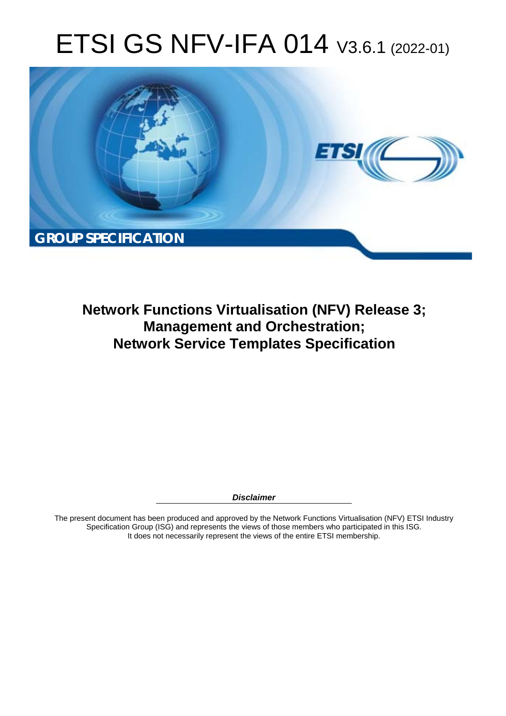# ETSI GS NFV-IFA 014 V3.6.1 (2022-01)



**Network Functions Virtualisation (NFV) Release 3; Management and Orchestration; Network Service Templates Specification** 

*Disclaimer* 

The present document has been produced and approved by the Network Functions Virtualisation (NFV) ETSI Industry Specification Group (ISG) and represents the views of those members who participated in this ISG. It does not necessarily represent the views of the entire ETSI membership.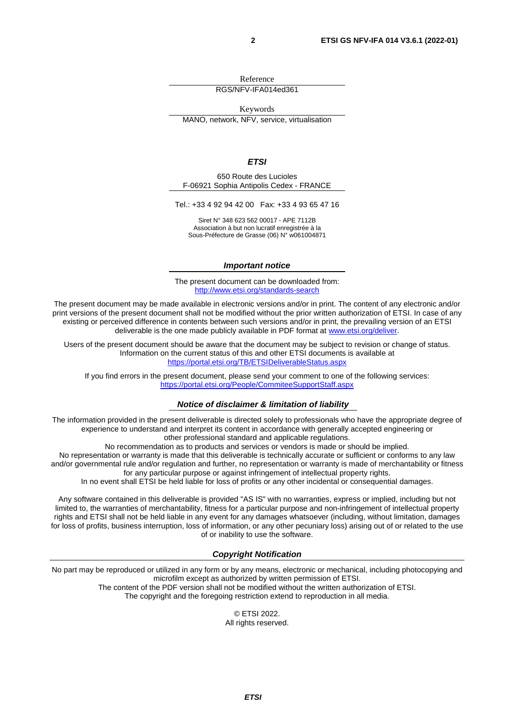Reference

RGS/NFV-IFA014ed361

Keywords MANO, network, NFV, service, virtualisation

#### *ETSI*

650 Route des Lucioles F-06921 Sophia Antipolis Cedex - FRANCE

Tel.: +33 4 92 94 42 00 Fax: +33 4 93 65 47 16

Siret N° 348 623 562 00017 - APE 7112B Association à but non lucratif enregistrée à la Sous-Préfecture de Grasse (06) N° w061004871

#### *Important notice*

The present document can be downloaded from: <http://www.etsi.org/standards-search>

The present document may be made available in electronic versions and/or in print. The content of any electronic and/or print versions of the present document shall not be modified without the prior written authorization of ETSI. In case of any existing or perceived difference in contents between such versions and/or in print, the prevailing version of an ETSI deliverable is the one made publicly available in PDF format at [www.etsi.org/deliver](http://www.etsi.org/deliver).

Users of the present document should be aware that the document may be subject to revision or change of status. Information on the current status of this and other ETSI documents is available at <https://portal.etsi.org/TB/ETSIDeliverableStatus.aspx>

If you find errors in the present document, please send your comment to one of the following services: <https://portal.etsi.org/People/CommiteeSupportStaff.aspx>

#### *Notice of disclaimer & limitation of liability*

The information provided in the present deliverable is directed solely to professionals who have the appropriate degree of experience to understand and interpret its content in accordance with generally accepted engineering or other professional standard and applicable regulations.

No recommendation as to products and services or vendors is made or should be implied.

No representation or warranty is made that this deliverable is technically accurate or sufficient or conforms to any law and/or governmental rule and/or regulation and further, no representation or warranty is made of merchantability or fitness for any particular purpose or against infringement of intellectual property rights.

In no event shall ETSI be held liable for loss of profits or any other incidental or consequential damages.

Any software contained in this deliverable is provided "AS IS" with no warranties, express or implied, including but not limited to, the warranties of merchantability, fitness for a particular purpose and non-infringement of intellectual property rights and ETSI shall not be held liable in any event for any damages whatsoever (including, without limitation, damages for loss of profits, business interruption, loss of information, or any other pecuniary loss) arising out of or related to the use of or inability to use the software.

#### *Copyright Notification*

No part may be reproduced or utilized in any form or by any means, electronic or mechanical, including photocopying and microfilm except as authorized by written permission of ETSI. The content of the PDF version shall not be modified without the written authorization of ETSI.

The copyright and the foregoing restriction extend to reproduction in all media.

© ETSI 2022. All rights reserved.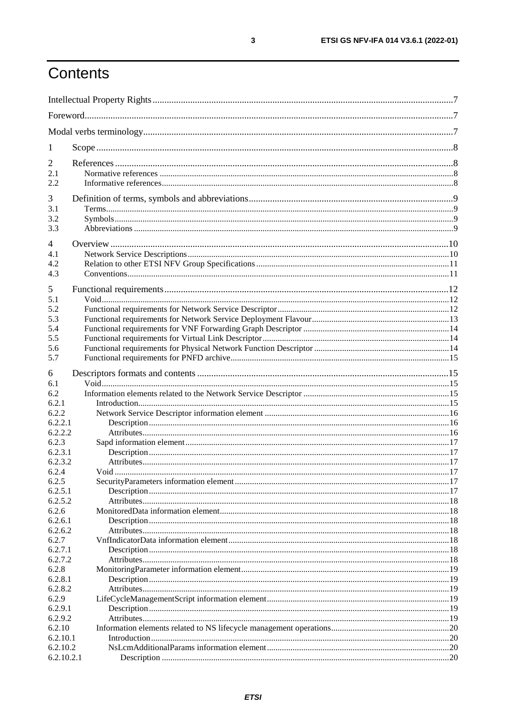## Contents

| 1                  |  |  |
|--------------------|--|--|
| $\overline{c}$     |  |  |
| 2.1                |  |  |
| 2.2                |  |  |
| 3                  |  |  |
| 3.1                |  |  |
| 3.2                |  |  |
| 3.3                |  |  |
| 4                  |  |  |
| 4.1                |  |  |
| 4.2                |  |  |
| 4.3                |  |  |
| 5                  |  |  |
| 5.1                |  |  |
| 5.2                |  |  |
| 5.3                |  |  |
| 5.4                |  |  |
| 5.5                |  |  |
| 5.6                |  |  |
| 5.7                |  |  |
| 6                  |  |  |
| 6.1                |  |  |
| 6.2                |  |  |
| 6.2.1              |  |  |
| 6.2.2              |  |  |
| 6.2.2.1<br>6.2.2.2 |  |  |
| 6.2.3              |  |  |
| 6.2.3.1            |  |  |
| 6.2.3.2            |  |  |
| 6.2.4              |  |  |
| 6.2.5              |  |  |
| 6.2.5.1            |  |  |
| 6.2.5.2            |  |  |
| 6.2.6              |  |  |
| 6.2.6.1<br>6.2.6.2 |  |  |
| 6.2.7              |  |  |
| 6.2.7.1            |  |  |
| 6.2.7.2            |  |  |
| 6.2.8              |  |  |
| 6.2.8.1            |  |  |
| 6.2.8.2            |  |  |
| 6.2.9              |  |  |
| 6.2.9.1<br>6.2.9.2 |  |  |
| 6.2.10             |  |  |
| 6.2.10.1           |  |  |
| 6.2.10.2           |  |  |
| 6.2.10.2.1         |  |  |
|                    |  |  |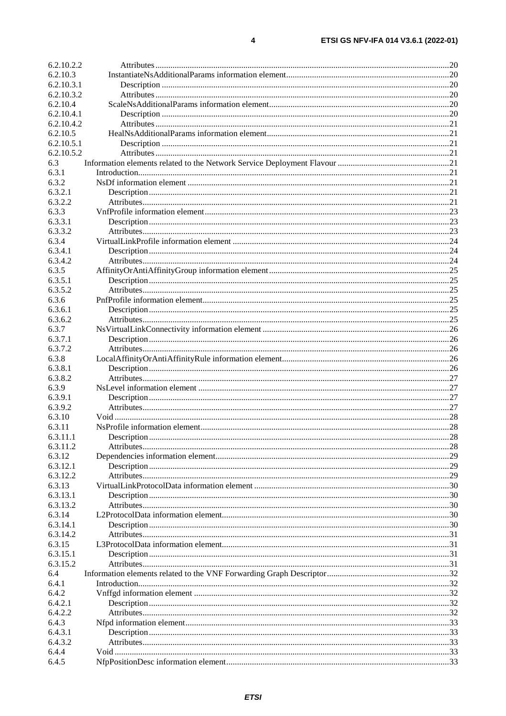| 6.2.10.2.2 |  |
|------------|--|
| 6.2.10.3   |  |
| 6.2.10.3.1 |  |
| 6.2.10.3.2 |  |
| 6.2.10.4   |  |
| 6.2.10.4.1 |  |
| 6.2.10.4.2 |  |
|            |  |
| 6.2.10.5   |  |
| 6.2.10.5.1 |  |
| 6.2.10.5.2 |  |
| 6.3        |  |
| 6.3.1      |  |
| 6.3.2      |  |
| 6.3.2.1    |  |
| 6.3.2.2    |  |
| 6.3.3      |  |
| 6.3.3.1    |  |
| 6.3.3.2    |  |
| 6.3.4      |  |
|            |  |
| 6.3.4.1    |  |
| 6.3.4.2    |  |
| 6.3.5      |  |
| 6.3.5.1    |  |
| 6.3.5.2    |  |
| 6.3.6      |  |
| 6.3.6.1    |  |
| 6.3.6.2    |  |
| 6.3.7      |  |
| 6.3.7.1    |  |
|            |  |
| 6.3.7.2    |  |
| 6.3.8      |  |
| 6.3.8.1    |  |
| 6.3.8.2    |  |
| 6.3.9      |  |
| 6.3.9.1    |  |
| 6.3.9.2    |  |
| 6.3.10     |  |
| 6.3.11     |  |
| 6.3.11.1   |  |
| 6.3.11.2   |  |
|            |  |
| 6.3.12     |  |
| 6.3.12.1   |  |
| 6.3.12.2   |  |
| 6.3.13     |  |
| 6.3.13.1   |  |
| 6.3.13.2   |  |
| 6.3.14     |  |
| 6.3.14.1   |  |
| 6.3.14.2   |  |
| 6.3.15     |  |
| 6.3.15.1   |  |
| 6.3.15.2   |  |
| 6.4        |  |
|            |  |
| 6.4.1      |  |
| 6.4.2      |  |
| 6.4.2.1    |  |
| 6.4.2.2    |  |
| 6.4.3      |  |
| 6.4.3.1    |  |
| 6.4.3.2    |  |
| 6.4.4      |  |
| 6.4.5      |  |
|            |  |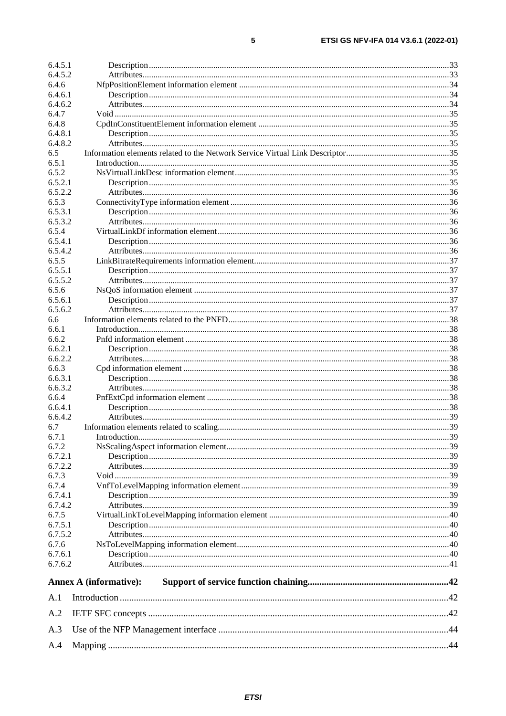| 6.4.5.1 |                               |  |
|---------|-------------------------------|--|
| 6.4.5.2 |                               |  |
| 6.4.6   |                               |  |
| 6.4.6.1 |                               |  |
| 6.4.6.2 |                               |  |
| 6.4.7   |                               |  |
| 6.4.8   |                               |  |
| 6.4.8.1 |                               |  |
| 6.4.8.2 |                               |  |
| 6.5     |                               |  |
| 6.5.1   |                               |  |
| 6.5.2   |                               |  |
| 6.5.2.1 |                               |  |
| 6.5.2.2 |                               |  |
| 6.5.3   |                               |  |
| 6.5.3.1 |                               |  |
| 6.5.3.2 |                               |  |
| 6.5.4   |                               |  |
| 6.5.4.1 |                               |  |
| 6.5.4.2 |                               |  |
| 6.5.5   |                               |  |
| 6.5.5.1 |                               |  |
| 6.5.5.2 |                               |  |
| 6.5.6   |                               |  |
| 6.5.6.1 |                               |  |
| 6.5.6.2 |                               |  |
| 6.6     |                               |  |
| 6.6.1   |                               |  |
| 6.6.2   |                               |  |
| 6.6.2.1 |                               |  |
| 6.6.2.2 |                               |  |
| 6.6.3   |                               |  |
| 6.6.3.1 |                               |  |
| 6.6.3.2 |                               |  |
| 6.6.4   |                               |  |
| 6.6.4.1 |                               |  |
| 6.6.4.2 |                               |  |
|         |                               |  |
| 6.7     |                               |  |
| 6.7.1   |                               |  |
| 6.7.2   |                               |  |
| 6.7.2.1 |                               |  |
| 6.7.2.2 |                               |  |
| 6.7.3   |                               |  |
| 6.7.4   |                               |  |
| 6.7.4.1 |                               |  |
| 6.7.4.2 |                               |  |
| 6.7.5   |                               |  |
| 6.7.5.1 |                               |  |
| 6.7.5.2 |                               |  |
| 6.7.6   |                               |  |
| 6.7.6.1 |                               |  |
| 6.7.6.2 |                               |  |
|         | <b>Annex A (informative):</b> |  |
| A.1     |                               |  |
| A.2     |                               |  |
| A.3     |                               |  |
| A.4     |                               |  |
|         |                               |  |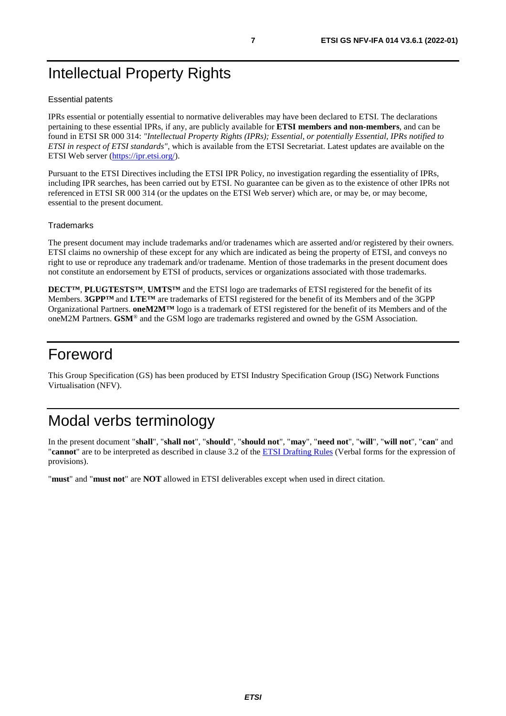## <span id="page-6-0"></span>Intellectual Property Rights

#### Essential patents

IPRs essential or potentially essential to normative deliverables may have been declared to ETSI. The declarations pertaining to these essential IPRs, if any, are publicly available for **ETSI members and non-members**, and can be found in ETSI SR 000 314: *"Intellectual Property Rights (IPRs); Essential, or potentially Essential, IPRs notified to ETSI in respect of ETSI standards"*, which is available from the ETSI Secretariat. Latest updates are available on the ETSI Web server ([https://ipr.etsi.org/\)](https://ipr.etsi.org/).

Pursuant to the ETSI Directives including the ETSI IPR Policy, no investigation regarding the essentiality of IPRs, including IPR searches, has been carried out by ETSI. No guarantee can be given as to the existence of other IPRs not referenced in ETSI SR 000 314 (or the updates on the ETSI Web server) which are, or may be, or may become, essential to the present document.

#### **Trademarks**

The present document may include trademarks and/or tradenames which are asserted and/or registered by their owners. ETSI claims no ownership of these except for any which are indicated as being the property of ETSI, and conveys no right to use or reproduce any trademark and/or tradename. Mention of those trademarks in the present document does not constitute an endorsement by ETSI of products, services or organizations associated with those trademarks.

**DECT™**, **PLUGTESTS™**, **UMTS™** and the ETSI logo are trademarks of ETSI registered for the benefit of its Members. **3GPP™** and **LTE™** are trademarks of ETSI registered for the benefit of its Members and of the 3GPP Organizational Partners. **oneM2M™** logo is a trademark of ETSI registered for the benefit of its Members and of the oneM2M Partners. **GSM**® and the GSM logo are trademarks registered and owned by the GSM Association.

## Foreword

This Group Specification (GS) has been produced by ETSI Industry Specification Group (ISG) Network Functions Virtualisation (NFV).

## Modal verbs terminology

In the present document "**shall**", "**shall not**", "**should**", "**should not**", "**may**", "**need not**", "**will**", "**will not**", "**can**" and "**cannot**" are to be interpreted as described in clause 3.2 of the [ETSI Drafting Rules](https://portal.etsi.org/Services/editHelp!/Howtostart/ETSIDraftingRules.aspx) (Verbal forms for the expression of provisions).

"**must**" and "**must not**" are **NOT** allowed in ETSI deliverables except when used in direct citation.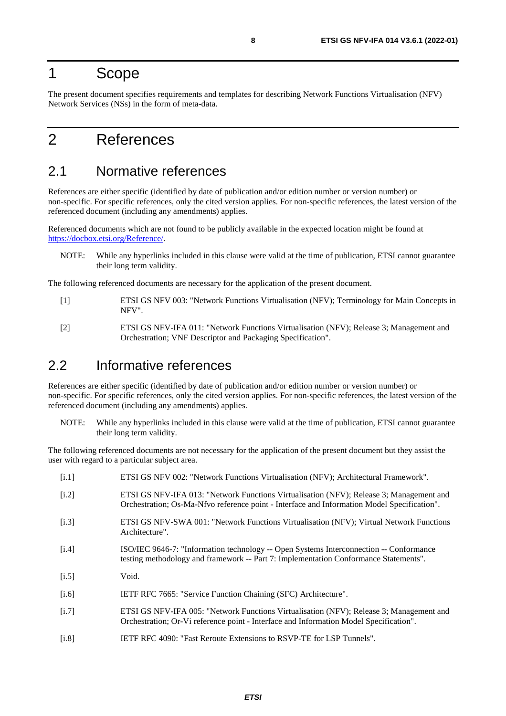## <span id="page-7-0"></span>1 Scope

The present document specifies requirements and templates for describing Network Functions Virtualisation (NFV) Network Services (NSs) in the form of meta-data.

## 2 References

## 2.1 Normative references

References are either specific (identified by date of publication and/or edition number or version number) or non-specific. For specific references, only the cited version applies. For non-specific references, the latest version of the referenced document (including any amendments) applies.

Referenced documents which are not found to be publicly available in the expected location might be found at <https://docbox.etsi.org/Reference/>.

NOTE: While any hyperlinks included in this clause were valid at the time of publication, ETSI cannot guarantee their long term validity.

The following referenced documents are necessary for the application of the present document.

- [1] ETSI GS NFV 003: "Network Functions Virtualisation (NFV); Terminology for Main Concepts in NFV".
- [2] ETSI GS NFV-IFA 011: "Network Functions Virtualisation (NFV); Release 3; Management and Orchestration; VNF Descriptor and Packaging Specification".

## 2.2 Informative references

References are either specific (identified by date of publication and/or edition number or version number) or non-specific. For specific references, only the cited version applies. For non-specific references, the latest version of the referenced document (including any amendments) applies.

NOTE: While any hyperlinks included in this clause were valid at the time of publication, ETSI cannot guarantee their long term validity.

The following referenced documents are not necessary for the application of the present document but they assist the user with regard to a particular subject area.

[i.1] ETSI GS NFV 002: "Network Functions Virtualisation (NFV); Architectural Framework".

| 11.1  | ETSI US INF V UOZ. TVELWOIK FUNCTIONS VIIIUANSALION (INF V), ALCHITECULIAI FIAMEWOIK.                                                                                                  |
|-------|----------------------------------------------------------------------------------------------------------------------------------------------------------------------------------------|
| [i.2] | ETSI GS NFV-IFA 013: "Network Functions Virtualisation (NFV); Release 3; Management and<br>Orchestration; Os-Ma-Nfvo reference point - Interface and Information Model Specification". |
| [i.3] | ETSI GS NFV-SWA 001: "Network Functions Virtualisation (NFV); Virtual Network Functions<br>Architecture".                                                                              |
| [i.4] | ISO/IEC 9646-7: "Information technology -- Open Systems Interconnection -- Conformance<br>testing methodology and framework -- Part 7: Implementation Conformance Statements".         |
| [i.5] | Void.                                                                                                                                                                                  |
| [i.6] | IETF RFC 7665: "Service Function Chaining (SFC) Architecture".                                                                                                                         |
| [i.7] | ETSI GS NFV-IFA 005: "Network Functions Virtualisation (NFV); Release 3; Management and<br>Orchestration; Or-Vi reference point - Interface and Information Model Specification".      |
| [i.8] | <b>IETF RFC 4090: "Fast Reroute Extensions to RSVP-TE for LSP Tunnels".</b>                                                                                                            |
|       |                                                                                                                                                                                        |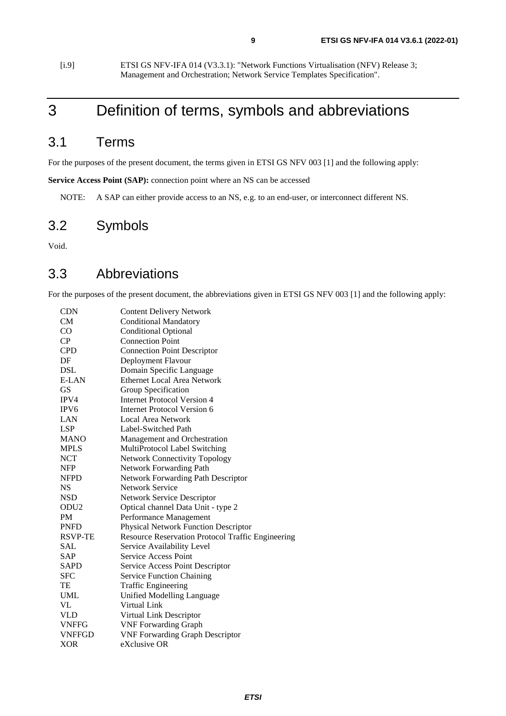<span id="page-8-0"></span>[i.9] ETSI GS NFV-IFA 014 (V3.3.1): "Network Functions Virtualisation (NFV) Release 3; Management and Orchestration; Network Service Templates Specification".

## 3 Definition of terms, symbols and abbreviations

## 3.1 Terms

For the purposes of the present document, the terms given in ETSI GS NFV 003 [[1\]](#page-7-0) and the following apply:

Service Access Point (SAP): connection point where an NS can be accessed

NOTE: A SAP can either provide access to an NS, e.g. to an end-user, or interconnect different NS.

## 3.2 Symbols

Void.

## 3.3 Abbreviations

For the purposes of the present document, the abbreviations given in ETSI GS NFV 003 [\[1](#page-7-0)] and the following apply:

| <b>CDN</b>       | <b>Content Delivery Network</b>                   |
|------------------|---------------------------------------------------|
| CM               | <b>Conditional Mandatory</b>                      |
| CO               | <b>Conditional Optional</b>                       |
| CP               | <b>Connection Point</b>                           |
| <b>CPD</b>       | <b>Connection Point Descriptor</b>                |
| DF               | Deployment Flavour                                |
| <b>DSL</b>       | Domain Specific Language                          |
| E-LAN            | <b>Ethernet Local Area Network</b>                |
| GS               | Group Specification                               |
| IPV4             | <b>Internet Protocol Version 4</b>                |
| IPV <sub>6</sub> | Internet Protocol Version 6                       |
| LAN              | Local Area Network                                |
| <b>LSP</b>       | Label-Switched Path                               |
| <b>MANO</b>      | Management and Orchestration                      |
| <b>MPLS</b>      | MultiProtocol Label Switching                     |
| <b>NCT</b>       | <b>Network Connectivity Topology</b>              |
| <b>NFP</b>       | <b>Network Forwarding Path</b>                    |
| <b>NFPD</b>      | <b>Network Forwarding Path Descriptor</b>         |
| <b>NS</b>        | Network Service                                   |
| <b>NSD</b>       | Network Service Descriptor                        |
| ODU <sub>2</sub> | Optical channel Data Unit - type 2                |
| <b>PM</b>        | Performance Management                            |
| <b>PNFD</b>      | <b>Physical Network Function Descriptor</b>       |
| <b>RSVP-TE</b>   | Resource Reservation Protocol Traffic Engineering |
| SAL              | Service Availability Level                        |
| <b>SAP</b>       | <b>Service Access Point</b>                       |
| <b>SAPD</b>      | Service Access Point Descriptor                   |
| <b>SFC</b>       | <b>Service Function Chaining</b>                  |
| TE               | <b>Traffic Engineering</b>                        |
| UML              | Unified Modelling Language                        |
| VL               | Virtual Link                                      |
| <b>VLD</b>       | Virtual Link Descriptor                           |
| <b>VNFFG</b>     | <b>VNF Forwarding Graph</b>                       |
| <b>VNFFGD</b>    | <b>VNF Forwarding Graph Descriptor</b>            |
| <b>XOR</b>       | eXclusive OR                                      |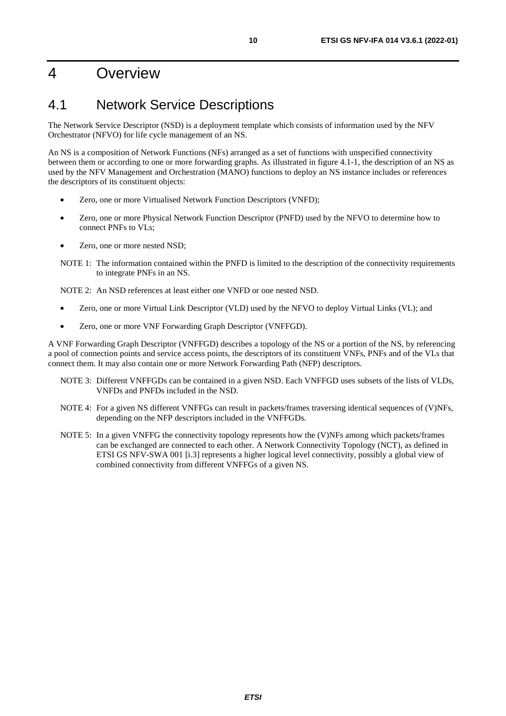## <span id="page-9-0"></span>4 Overview

## 4.1 Network Service Descriptions

The Network Service Descriptor (NSD) is a deployment template which consists of information used by the NFV Orchestrator (NFVO) for life cycle management of an NS.

An NS is a composition of Network Functions (NFs) arranged as a set of functions with unspecified connectivity between them or according to one or more forwarding graphs. As illustrated in figure 4.1-1, the description of an NS as used by the NFV Management and Orchestration (MANO) functions to deploy an NS instance includes or references the descriptors of its constituent objects:

- Zero, one or more Virtualised Network Function Descriptors (VNFD);
- Zero, one or more Physical Network Function Descriptor (PNFD) used by the NFVO to determine how to connect PNFs to VLs;
- Zero, one or more nested NSD;
- NOTE 1: The information contained within the PNFD is limited to the description of the connectivity requirements to integrate PNFs in an NS.

NOTE 2: An NSD references at least either one VNFD or one nested NSD.

- Zero, one or more Virtual Link Descriptor (VLD) used by the NFVO to deploy Virtual Links (VL); and
- Zero, one or more VNF Forwarding Graph Descriptor (VNFFGD).

A VNF Forwarding Graph Descriptor (VNFFGD) describes a topology of the NS or a portion of the NS, by referencing a pool of connection points and service access points, the descriptors of its constituent VNFs, PNFs and of the VLs that connect them. It may also contain one or more Network Forwarding Path (NFP) descriptors.

- NOTE 3: Different VNFFGDs can be contained in a given NSD. Each VNFFGD uses subsets of the lists of VLDs, VNFDs and PNFDs included in the NSD.
- NOTE 4: For a given NS different VNFFGs can result in packets/frames traversing identical sequences of (V)NFs, depending on the NFP descriptors included in the VNFFGDs.
- NOTE 5: In a given VNFFG the connectivity topology represents how the (V)NFs among which packets/frames can be exchanged are connected to each other. A Network Connectivity Topology (NCT), as defined in ETSI GS NFV-SWA 001 [\[i.3](#page-7-0)] represents a higher logical level connectivity, possibly a global view of combined connectivity from different VNFFGs of a given NS.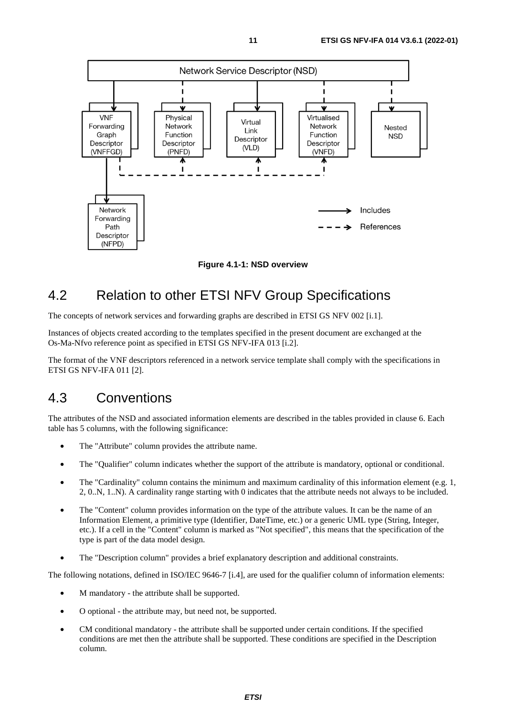<span id="page-10-0"></span>

**Figure 4.1-1: NSD overview** 

## 4.2 Relation to other ETSI NFV Group Specifications

The concepts of network services and forwarding graphs are described in ETSI GS NFV 002 [\[i.1](#page-7-0)].

Instances of objects created according to the templates specified in the present document are exchanged at the Os-Ma-Nfvo reference point as specified in ETSI GS NFV-IFA 013 [[i.2](#page-7-0)].

The format of the VNF descriptors referenced in a network service template shall comply with the specifications in ETSI GS NFV-IFA 011 [[2](#page-7-0)].

## 4.3 Conventions

The attributes of the NSD and associated information elements are described in the tables provided in clause 6. Each table has 5 columns, with the following significance:

- The "Attribute" column provides the attribute name.
- The "Qualifier" column indicates whether the support of the attribute is mandatory, optional or conditional.
- The "Cardinality" column contains the minimum and maximum cardinality of this information element (e.g. 1, 2, 0..N, 1..N). A cardinality range starting with 0 indicates that the attribute needs not always to be included.
- The "Content" column provides information on the type of the attribute values. It can be the name of an Information Element, a primitive type (Identifier, DateTime, etc.) or a generic UML type (String, Integer, etc.). If a cell in the "Content" column is marked as "Not specified", this means that the specification of the type is part of the data model design.
- The "Description column" provides a brief explanatory description and additional constraints.

The following notations, defined in ISO/IEC 9646-7 [\[i.4](#page-7-0)], are used for the qualifier column of information elements:

- M mandatory the attribute shall be supported.
- O optional the attribute may, but need not, be supported.
- CM conditional mandatory the attribute shall be supported under certain conditions. If the specified conditions are met then the attribute shall be supported. These conditions are specified in the Description column.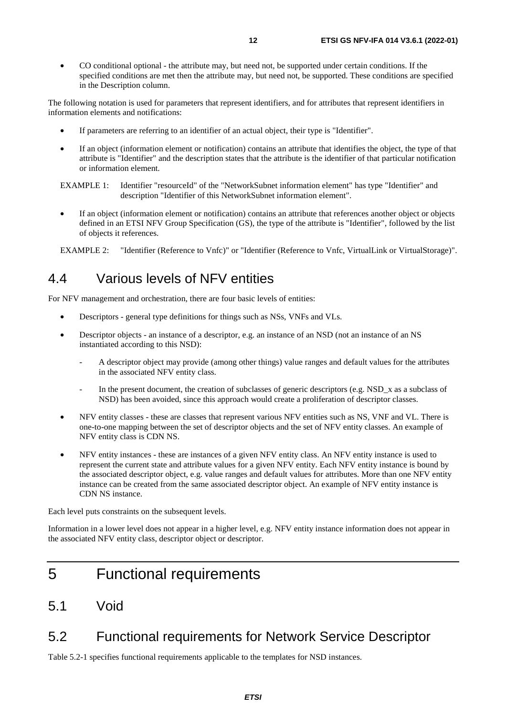<span id="page-11-0"></span>• CO conditional optional - the attribute may, but need not, be supported under certain conditions. If the specified conditions are met then the attribute may, but need not, be supported. These conditions are specified in the Description column.

The following notation is used for parameters that represent identifiers, and for attributes that represent identifiers in information elements and notifications:

- If parameters are referring to an identifier of an actual object, their type is "Identifier".
- If an object (information element or notification) contains an attribute that identifies the object, the type of that attribute is "Identifier" and the description states that the attribute is the identifier of that particular notification or information element.

• If an object (information element or notification) contains an attribute that references another object or objects defined in an ETSI NFV Group Specification (GS), the type of the attribute is "Identifier", followed by the list of objects it references.

EXAMPLE 2: "Identifier (Reference to Vnfc)" or "Identifier (Reference to Vnfc, VirtualLink or VirtualStorage)".

## 4.4 Various levels of NFV entities

For NFV management and orchestration, there are four basic levels of entities:

- Descriptors general type definitions for things such as NSs, VNFs and VLs.
- Descriptor objects an instance of a descriptor, e.g. an instance of an NSD (not an instance of an NS instantiated according to this NSD):
	- A descriptor object may provide (among other things) value ranges and default values for the attributes in the associated NFV entity class.
	- In the present document, the creation of subclasses of generic descriptors (e.g. NSD\_x as a subclass of NSD) has been avoided, since this approach would create a proliferation of descriptor classes.
- NFV entity classes these are classes that represent various NFV entities such as NS, VNF and VL. There is one-to-one mapping between the set of descriptor objects and the set of NFV entity classes. An example of NFV entity class is CDN NS.
- NFV entity instances these are instances of a given NFV entity class. An NFV entity instance is used to represent the current state and attribute values for a given NFV entity. Each NFV entity instance is bound by the associated descriptor object, e.g. value ranges and default values for attributes. More than one NFV entity instance can be created from the same associated descriptor object. An example of NFV entity instance is CDN NS instance.

Each level puts constraints on the subsequent levels.

Information in a lower level does not appear in a higher level, e.g. NFV entity instance information does not appear in the associated NFV entity class, descriptor object or descriptor.

- 5 Functional requirements
- 5.1 Void

## 5.2 Functional requirements for Network Service Descriptor

Table 5.2-1 specifies functional requirements applicable to the templates for NSD instances.

EXAMPLE 1: Identifier "resourceId" of the "NetworkSubnet information element" has type "Identifier" and description "Identifier of this NetworkSubnet information element".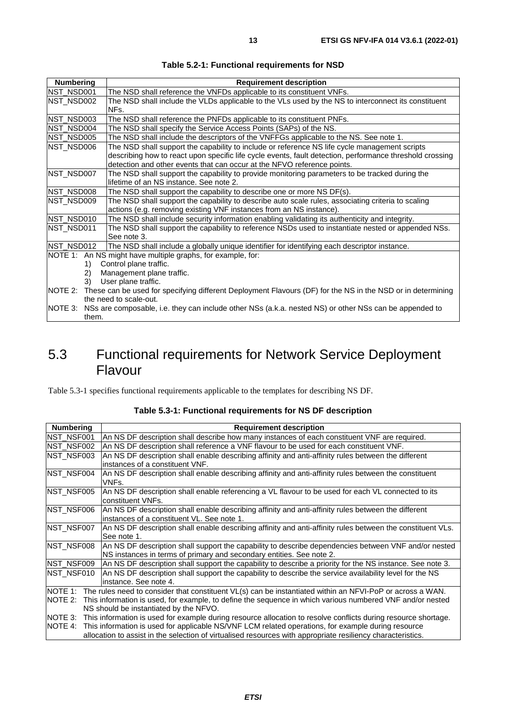<span id="page-12-0"></span>

| <b>Numbering</b> | <b>Requirement description</b>                                                                                      |
|------------------|---------------------------------------------------------------------------------------------------------------------|
| NST_NSD001       | The NSD shall reference the VNFDs applicable to its constituent VNFs.                                               |
| NST NSD002       | The NSD shall include the VLDs applicable to the VLs used by the NS to interconnect its constituent                 |
|                  | NFs.                                                                                                                |
| NST_NSD003       | The NSD shall reference the PNFDs applicable to its constituent PNFs.                                               |
| NST NSD004       | The NSD shall specify the Service Access Points (SAPs) of the NS.                                                   |
| NST_NSD005       | The NSD shall include the descriptors of the VNFFGs applicable to the NS. See note 1.                               |
| NST NSD006       | The NSD shall support the capability to include or reference NS life cycle management scripts                       |
|                  | describing how to react upon specific life cycle events, fault detection, performance threshold crossing            |
|                  | detection and other events that can occur at the NFVO reference points.                                             |
| NST_NSD007       | The NSD shall support the capability to provide monitoring parameters to be tracked during the                      |
|                  | lifetime of an NS instance. See note 2.                                                                             |
| NST_NSD008       | The NSD shall support the capability to describe one or more NS DF(s).                                              |
| NST NSD009       | The NSD shall support the capability to describe auto scale rules, associating criteria to scaling                  |
|                  | actions (e.g. removing existing VNF instances from an NS instance).                                                 |
| NST_NSD010       | The NSD shall include security information enabling validating its authenticity and integrity.                      |
| NST NSD011       | The NSD shall support the capability to reference NSDs used to instantiate nested or appended NSs.                  |
|                  | See note 3.                                                                                                         |
| NST_NSD012       | The NSD shall include a globally unique identifier for identifying each descriptor instance.                        |
|                  | NOTE 1: An NS might have multiple graphs, for example, for:                                                         |
| 1)               | Control plane traffic.                                                                                              |
| 2)               | Management plane traffic.                                                                                           |
| 3)               | User plane traffic.                                                                                                 |
|                  | NOTE 2: These can be used for specifying different Deployment Flavours (DF) for the NS in the NSD or in determining |
|                  | the need to scale-out.                                                                                              |
| NOTE 3:          | NSs are composable, i.e. they can include other NSs (a.k.a. nested NS) or other NSs can be appended to              |
| them.            |                                                                                                                     |

#### **Table 5.2-1: Functional requirements for NSD**

## 5.3 Functional requirements for Network Service Deployment Flavour

Table 5.3-1 specifies functional requirements applicable to the templates for describing NS DF.

| <b>Numbering</b> | <b>Requirement description</b>                                                                                 |
|------------------|----------------------------------------------------------------------------------------------------------------|
| NST NSF001       | An NS DF description shall describe how many instances of each constituent VNF are required.                   |
| NST_NSF002       | An NS DF description shall reference a VNF flavour to be used for each constituent VNF.                        |
| NST_NSF003       | An NS DF description shall enable describing affinity and anti-affinity rules between the different            |
|                  | linstances of a constituent VNF.                                                                               |
| NST NSF004       | An NS DF description shall enable describing affinity and anti-affinity rules between the constituent          |
|                  | VNFs.                                                                                                          |
| NST NSF005       | An NS DF description shall enable referencing a VL flavour to be used for each VL connected to its             |
|                  | constituent VNFs.                                                                                              |
| NST NSF006       | An NS DF description shall enable describing affinity and anti-affinity rules between the different            |
|                  | instances of a constituent VL. See note 1.                                                                     |
| NST NSF007       | An NS DF description shall enable describing affinity and anti-affinity rules between the constituent VLs.     |
|                  | See note 1.                                                                                                    |
| NST NSF008       | An NS DF description shall support the capability to describe dependencies between VNF and/or nested           |
|                  | NS instances in terms of primary and secondary entities. See note 2.                                           |
| NST NSF009       | An NS DF description shall support the capability to describe a priority for the NS instance. See note 3.      |
| NST NSF010       | An NS DF description shall support the capability to describe the service availability level for the NS        |
|                  | linstance. See note 4.                                                                                         |
| NOTE 1:          | The rules need to consider that constituent VL(s) can be instantiated within an NFVI-PoP or across a WAN.      |
| NOTE 2:          | This information is used, for example, to define the sequence in which various numbered VNF and/or nested      |
|                  | NS should be instantiated by the NFVO.                                                                         |
| NOTE 3:          | This information is used for example during resource allocation to resolve conflicts during resource shortage. |
| NOTE 4:          | This information is used for applicable NS/VNF LCM related operations, for example during resource             |
|                  | allocation to assist in the selection of virtualised resources with appropriate resiliency characteristics.    |

#### **Table 5.3-1: Functional requirements for NS DF description**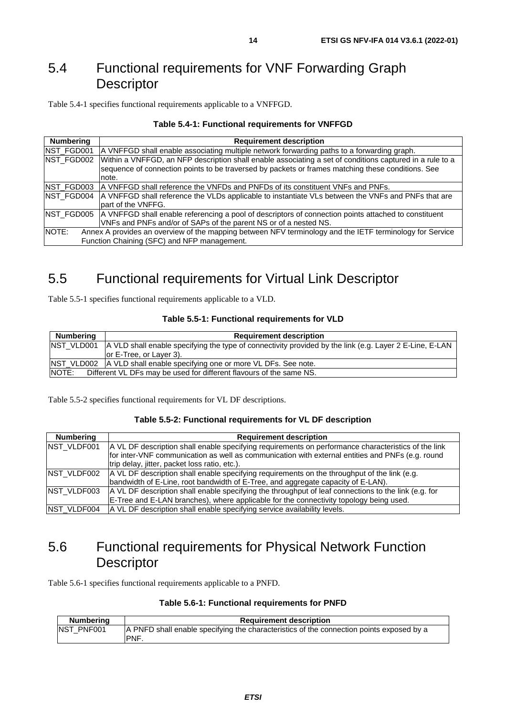## <span id="page-13-0"></span>5.4 Functional requirements for VNF Forwarding Graph **Descriptor**

Table 5.4-1 specifies functional requirements applicable to a VNFFGD.

| <b>Numbering</b>   | <b>Requirement description</b>                                                                           |
|--------------------|----------------------------------------------------------------------------------------------------------|
| NST_FGD001         | A VNFFGD shall enable associating multiple network forwarding paths to a forwarding graph.               |
| NST_FGD002         | Within a VNFFGD, an NFP description shall enable associating a set of conditions captured in a rule to a |
|                    | sequence of connection points to be traversed by packets or frames matching these conditions. See        |
|                    | note.                                                                                                    |
| NST_FGD003         | IA VNFFGD shall reference the VNFDs and PNFDs of its constituent VNFs and PNFs.                          |
| <b>INST FGD004</b> | A VNFFGD shall reference the VLDs applicable to instantiate VLs between the VNFs and PNFs that are       |
|                    | part of the VNFFG.                                                                                       |
| NST_FGD005         | A VNFFGD shall enable referencing a pool of descriptors of connection points attached to constituent     |
|                    | VNFs and PNFs and/or of SAPs of the parent NS or of a nested NS.                                         |
| NOTE:              | Annex A provides an overview of the mapping between NFV terminology and the IETF terminology for Service |
|                    | Function Chaining (SFC) and NFP management.                                                              |

## 5.5 Functional requirements for Virtual Link Descriptor

Table 5.5-1 specifies functional requirements applicable to a VLD.

#### **Table 5.5-1: Functional requirements for VLD**

| <b>Numbering</b> | <b>Requirement description</b>                                                                                     |
|------------------|--------------------------------------------------------------------------------------------------------------------|
|                  | NST VLD001 A VLD shall enable specifying the type of connectivity provided by the link (e.g. Layer 2 E-Line, E-LAN |
|                  | lor E-Tree, or Laver 3).                                                                                           |
|                  | <b>NST VLD002</b> A VLD shall enable specifying one or more VL DFs. See note.                                      |
| <b>INOTE:</b>    | Different VL DFs may be used for different flavours of the same NS.                                                |

Table 5.5-2 specifies functional requirements for VL DF descriptions.

#### **Table 5.5-2: Functional requirements for VL DF description**

| <b>Numbering</b>   | <b>Requirement description</b>                                                                                                                                                                                                                           |
|--------------------|----------------------------------------------------------------------------------------------------------------------------------------------------------------------------------------------------------------------------------------------------------|
| <b>NST VLDF001</b> | A VL DF description shall enable specifying requirements on performance characteristics of the link<br>for inter-VNF communication as well as communication with external entities and PNFs (e.g. round<br>trip delay, jitter, packet loss ratio, etc.). |
| NST VLDF002        | A VL DF description shall enable specifying requirements on the throughput of the link (e.g.<br>bandwidth of E-Line, root bandwidth of E-Tree, and aggregate capacity of E-LAN).                                                                         |
| NST_VLDF003        | A VL DF description shall enable specifying the throughput of leaf connections to the link (e.g. for<br>E-Tree and E-LAN branches), where applicable for the connectivity topology being used.                                                           |
| NST_VLDF004        | A VL DF description shall enable specifying service availability levels.                                                                                                                                                                                 |

## 5.6 Functional requirements for Physical Network Function **Descriptor**

Table 5.6-1 specifies functional requirements applicable to a PNFD.

| <b>Numbering</b>  | <b>Requirement description</b>                                                           |
|-------------------|------------------------------------------------------------------------------------------|
| <b>NST PNF001</b> | A PNFD shall enable specifying the characteristics of the connection points exposed by a |
|                   | 'PNF.                                                                                    |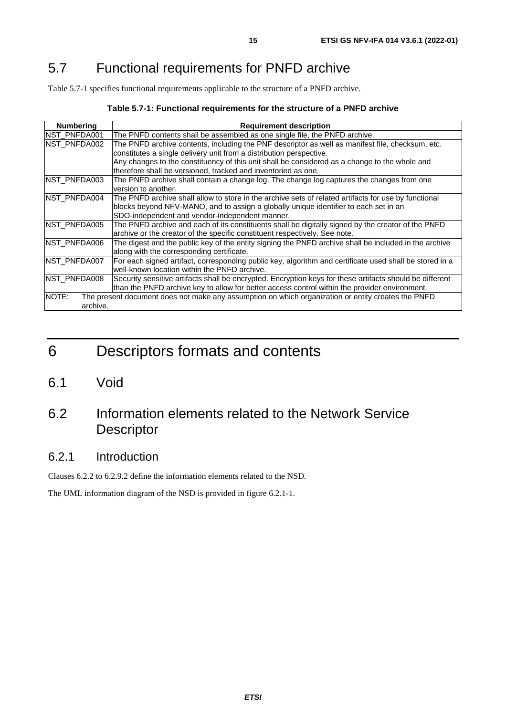## <span id="page-14-0"></span>5.7 Functional requirements for PNFD archive

Table 5.7-1 specifies functional requirements applicable to the structure of a PNFD archive.

#### **Table 5.7-1: Functional requirements for the structure of a PNFD archive**

| <b>Numbering</b>    | <b>Requirement description</b>                                                                           |
|---------------------|----------------------------------------------------------------------------------------------------------|
| INST PNFDA001       | The PNFD contents shall be assembled as one single file, the PNFD archive.                               |
| INST PNFDA002       | The PNFD archive contents, including the PNF descriptor as well as manifest file, checksum, etc.         |
|                     | constitutes a single delivery unit from a distribution perspective.                                      |
|                     | Any changes to the constituency of this unit shall be considered as a change to the whole and            |
|                     | therefore shall be versioned, tracked and inventoried as one.                                            |
| NST_PNFDA003        | The PNFD archive shall contain a change log. The change log captures the changes from one                |
|                     | version to another.                                                                                      |
| <b>NST PNFDA004</b> | The PNFD archive shall allow to store in the archive sets of related artifacts for use by functional     |
|                     | blocks beyond NFV-MANO, and to assign a globally unique identifier to each set in an                     |
|                     | SDO-independent and vendor-independent manner.                                                           |
| NST_PNFDA005        | The PNFD archive and each of its constituents shall be digitally signed by the creator of the PNFD       |
|                     | archive or the creator of the specific constituent respectively. See note.                               |
| <b>NST PNFDA006</b> | The digest and the public key of the entity signing the PNFD archive shall be included in the archive    |
|                     | along with the corresponding certificate.                                                                |
| INST PNFDA007       | For each signed artifact, corresponding public key, algorithm and certificate used shall be stored in a  |
|                     | well-known location within the PNFD archive.                                                             |
| NST_PNFDA008        | Security sensitive artifacts shall be encrypted. Encryption keys for these artifacts should be different |
|                     | than the PNFD archive key to allow for better access control within the provider environment.            |
| NOTE:               | The present document does not make any assumption on which organization or entity creates the PNFD       |
| archive.            |                                                                                                          |

## 6 Descriptors formats and contents

6.1 Void

## 6.2 Information elements related to the Network Service Descriptor

## 6.2.1 Introduction

Clauses 6.2.2 to 6.2.9.2 define the information elements related to the NSD.

The UML information diagram of the NSD is provided in figure 6.2.1-1.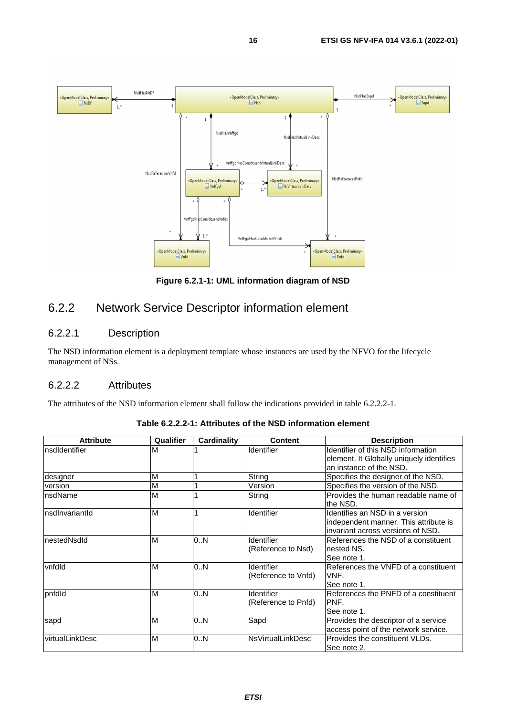<span id="page-15-0"></span>

**Figure 6.2.1-1: UML information diagram of NSD** 

## 6.2.2 Network Service Descriptor information element

## 6.2.2.1 Description

The NSD information element is a deployment template whose instances are used by the NFVO for the lifecycle management of NSs.

### 6.2.2.2 Attributes

The attributes of the NSD information element shall follow the indications provided in table 6.2.2.2-1.

| <b>Attribute</b> | Qualifier | Cardinality | <b>Content</b>           | <b>Description</b>                       |
|------------------|-----------|-------------|--------------------------|------------------------------------------|
| InsdIdentifier   | M         |             | <b>Identifier</b>        | Identifier of this NSD information       |
|                  |           |             |                          | element. It Globally uniquely identifies |
|                  |           |             |                          | an instance of the NSD.                  |
| designer         | M         |             | String                   | Specifies the designer of the NSD.       |
| version          | M         |             | Version                  | Specifies the version of the NSD.        |
| InsdName         | M         |             | String                   | Provides the human readable name of      |
|                  |           |             |                          | the NSD.                                 |
| InsdInvariantId  | M         |             | Identifier               | Identifies an NSD in a version           |
|                  |           |             |                          | independent manner. This attribute is    |
|                  |           |             |                          | invariant across versions of NSD.        |
| InestedNsdId     | M         | 0.N         | Identifier               | References the NSD of a constituent      |
|                  |           |             | (Reference to Nsd)       | nested NS.                               |
|                  |           |             |                          | See note 1.                              |
| vnfdld           | M         | 0N          | Identifier               | References the VNFD of a constituent     |
|                  |           |             | (Reference to Vnfd)      | VNF.                                     |
|                  |           |             |                          | See note 1.                              |
| pnfdld           | M         | 0.N         | Identifier               | References the PNFD of a constituent     |
|                  |           |             | (Reference to Pnfd)      | IPNF.                                    |
|                  |           |             |                          | See note 1.                              |
| sapd             | M         | 0N          | Sapd                     | Provides the descriptor of a service     |
|                  |           |             |                          | access point of the network service.     |
| virtualLinkDesc  | M         | 0.N         | <b>NsVirtualLinkDesc</b> | Provides the constituent VLDs.           |
|                  |           |             |                          | See note 2.                              |

**Table 6.2.2.2-1: Attributes of the NSD information element**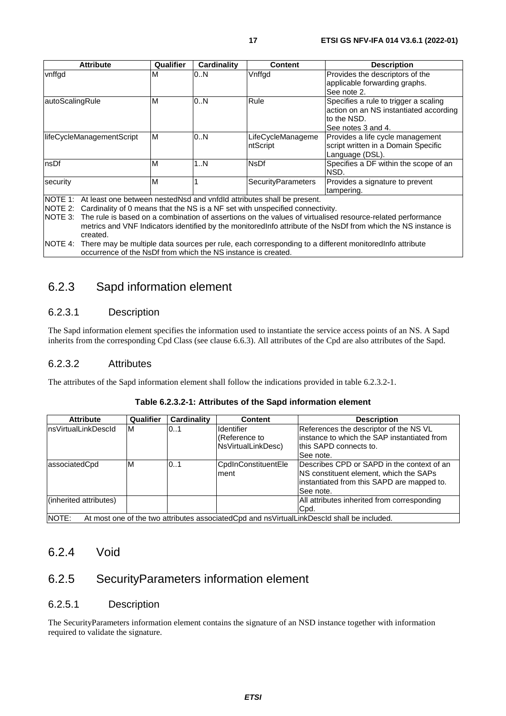<span id="page-16-0"></span>

| <b>Attribute</b>          | Qualifier                                                                                                                                                                                                                                                                                                                                                                                                       | Cardinality | <b>Content</b>                | <b>Description</b>                                                                                                   |  |  |
|---------------------------|-----------------------------------------------------------------------------------------------------------------------------------------------------------------------------------------------------------------------------------------------------------------------------------------------------------------------------------------------------------------------------------------------------------------|-------------|-------------------------------|----------------------------------------------------------------------------------------------------------------------|--|--|
| vnffgd                    | м                                                                                                                                                                                                                                                                                                                                                                                                               | 0.N         | Vnffgd                        | Provides the descriptors of the<br>applicable forwarding graphs.<br>See note 2.                                      |  |  |
| autoScalingRule           | M                                                                                                                                                                                                                                                                                                                                                                                                               | 0N          | Rule                          | Specifies a rule to trigger a scaling<br>action on an NS instantiated according<br>to the NSD.<br>See notes 3 and 4. |  |  |
| lifeCycleManagementScript | M                                                                                                                                                                                                                                                                                                                                                                                                               | 0N          | LifeCycleManageme<br>ntScript | Provides a life cycle management<br>script written in a Domain Specific<br>Language (DSL).                           |  |  |
| nsDf                      | M                                                                                                                                                                                                                                                                                                                                                                                                               | 1N          | <b>NsDf</b>                   | Specifies a DF within the scope of an<br>NSD.                                                                        |  |  |
| security                  | M                                                                                                                                                                                                                                                                                                                                                                                                               |             | SecurityParameters            | Provides a signature to prevent<br>tampering.                                                                        |  |  |
| created.                  | NOTE 1: At least one between nestedNsd and vnfdld attributes shall be present.<br>NOTE 2: Cardinality of 0 means that the NS is a NF set with unspecified connectivity.<br>NOTE 3: The rule is based on a combination of assertions on the values of virtualised resource-related performance<br>metrics and VNF Indicators identified by the monitored nfo attribute of the NSDf from which the NS instance is |             |                               |                                                                                                                      |  |  |
| NOTE 4:                   | There may be multiple data sources per rule, each corresponding to a different monitored not attribute<br>occurrence of the NsDf from which the NS instance is created.                                                                                                                                                                                                                                         |             |                               |                                                                                                                      |  |  |

## 6.2.3 Sapd information element

## 6.2.3.1 Description

The Sapd information element specifies the information used to instantiate the service access points of an NS. A Sapd inherits from the corresponding Cpd Class (see clause 6.6.3). All attributes of the Cpd are also attributes of the Sapd.

### 6.2.3.2 Attributes

The attributes of the Sapd information element shall follow the indications provided in table 6.2.3.2-1.

| <b>Attribute</b>       | Qualifier | Cardinality | <b>Content</b>                                           | <b>Description</b>                                                                                                                                 |
|------------------------|-----------|-------------|----------------------------------------------------------|----------------------------------------------------------------------------------------------------------------------------------------------------|
| InsVirtualLinkDescId   | ΙM        | 10.1        | <b>Identifier</b><br>(Reference to<br>NsVirtualLinkDesc) | References the descriptor of the NS VL<br>linstance to which the SAP instantiated from<br>Ithis SAPD connects to.<br>lSee note.                    |
| associatedCpd          | ΙM        | 0.1         | CpdInConstituentEle<br>lment                             | Describes CPD or SAPD in the context of an<br>INS constituent element, which the SAPs<br>linstantiated from this SAPD are mapped to.<br>lSee note. |
| (inherited attributes) |           |             |                                                          | All attributes inherited from corresponding<br>Cpd.                                                                                                |
| NOTE:                  |           |             |                                                          | At most one of the two attributes associated Cpd and ns Virtual Link Descld shall be included.                                                     |

#### **Table 6.2.3.2-1: Attributes of the Sapd information element**

## 6.2.4 Void

## 6.2.5 SecurityParameters information element

#### 6.2.5.1 Description

The SecurityParameters information element contains the signature of an NSD instance together with information required to validate the signature.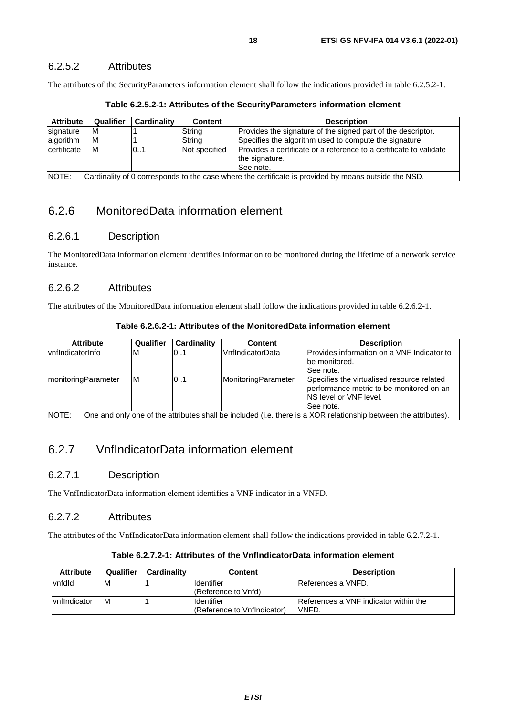### <span id="page-17-0"></span>6.2.5.2 Attributes

The attributes of the SecurityParameters information element shall follow the indications provided in table 6.2.5.2-1.

| <b>Attribute</b>                                                                                              | Qualifier | Cardinality | <b>Content</b> | <b>Description</b>                                                                                |
|---------------------------------------------------------------------------------------------------------------|-----------|-------------|----------------|---------------------------------------------------------------------------------------------------|
| signature                                                                                                     | ΙM        |             | String         | Provides the signature of the signed part of the descriptor.                                      |
| algorithm                                                                                                     | ΙM        |             | String         | Specifies the algorithm used to compute the signature.                                            |
| certificate                                                                                                   | IM.       | 01          | Not specified  | Provides a certificate or a reference to a certificate to validate<br>the signature.<br>See note. |
| NOTE:<br>Cardinality of 0 corresponds to the case where the certificate is provided by means outside the NSD. |           |             |                |                                                                                                   |

**Table 6.2.5.2-1: Attributes of the SecurityParameters information element** 

## 6.2.6 MonitoredData information element

#### 6.2.6.1 Description

The MonitoredData information element identifies information to be monitored during the lifetime of a network service instance.

## 6.2.6.2 Attributes

The attributes of the MonitoredData information element shall follow the indications provided in table 6.2.6.2-1.

| Table 6.2.6.2-1: Attributes of the MonitoredData information element |  |  |
|----------------------------------------------------------------------|--|--|
|----------------------------------------------------------------------|--|--|

| <b>Attribute</b>            | Qualifier | <b>Cardinality</b> | Content             | <b>Description</b>                                                                                              |
|-----------------------------|-----------|--------------------|---------------------|-----------------------------------------------------------------------------------------------------------------|
| <b>vnfIndicatorInfo</b>     | M         | 0.1                | VnfIndicatorData    | IProvides information on a VNF Indicator to                                                                     |
|                             |           |                    |                     | be monitored.                                                                                                   |
|                             |           |                    |                     | See note.                                                                                                       |
| <b>ImonitoringParameter</b> | M         | 01                 | MonitoringParameter | Specifies the virtualised resource related<br>performance metric to be monitored on an                          |
|                             |           |                    |                     | INS level or VNF level.                                                                                         |
|                             |           |                    |                     |                                                                                                                 |
|                             |           |                    |                     | ISee note.                                                                                                      |
| NOTE:                       |           |                    |                     | One and only one of the attributes shall be included (i.e. there is a XOR relationship between the attributes). |

## 6.2.7 VnfIndicatorData information element

### 6.2.7.1 Description

The VnfIndicatorData information element identifies a VNF indicator in a VNFD.

#### 6.2.7.2 Attributes

The attributes of the VnfIndicatorData information element shall follow the indications provided in table 6.2.7.2-1.

| Table 6.2.7.2-1: Attributes of the VnfIndicatorData information element |  |  |
|-------------------------------------------------------------------------|--|--|
|-------------------------------------------------------------------------|--|--|

| <b>Attribute</b>     | Qualifier | <b>Cardinality</b> | <b>Content</b>                                   | <b>Description</b>                                      |
|----------------------|-----------|--------------------|--------------------------------------------------|---------------------------------------------------------|
| vnfdld               | ΙM        |                    | <b>Identifier</b><br>(Reference to Vnfd)         | IReferences a VNFD.                                     |
| <b>IvnfIndicator</b> | ΙM        |                    | <b>Identifier</b><br>(Reference to VnfIndicator) | <b>IReferences a VNF indicator within the</b><br>IVNFD. |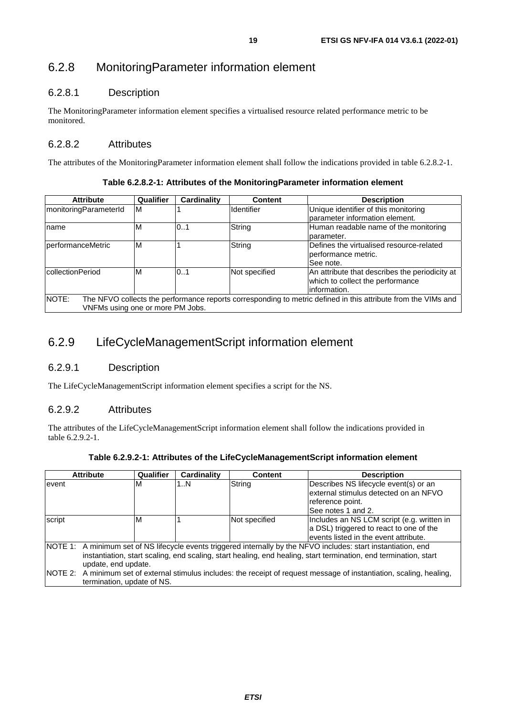## <span id="page-18-0"></span>6.2.8 MonitoringParameter information element

## 6.2.8.1 Description

The MonitoringParameter information element specifies a virtualised resource related performance metric to be monitored.

## 6.2.8.2 Attributes

The attributes of the MonitoringParameter information element shall follow the indications provided in table 6.2.8.2-1.

**Table 6.2.8.2-1: Attributes of the MonitoringParameter information element** 

| <b>Attribute</b>                                                                                                       | Qualifier | Cardinality | <b>Content</b>    | <b>Description</b>                             |
|------------------------------------------------------------------------------------------------------------------------|-----------|-------------|-------------------|------------------------------------------------|
| ImonitoringParameterId                                                                                                 | ΙM        |             | <b>Identifier</b> | Unique identifier of this monitoring           |
|                                                                                                                        |           |             |                   | parameter information element.                 |
| name                                                                                                                   | M         | 0.1         | String            | Human readable name of the monitoring          |
|                                                                                                                        |           |             |                   | Iparameter.                                    |
| performanceMetric                                                                                                      | ΙM        |             | String            | Defines the virtualised resource-related       |
|                                                                                                                        |           |             |                   | lperformance metric.                           |
|                                                                                                                        |           |             |                   | ISee note.                                     |
| collectionPeriod                                                                                                       | ΙM        | 0.1         | Not specified     | An attribute that describes the periodicity at |
|                                                                                                                        |           |             |                   | which to collect the performance               |
|                                                                                                                        |           |             |                   | information.                                   |
| NOTE:<br>The NFVO collects the performance reports corresponding to metric defined in this attribute from the VIMs and |           |             |                   |                                                |
| VNFMs using one or more PM Jobs.                                                                                       |           |             |                   |                                                |

## 6.2.9 LifeCycleManagementScript information element

## 6.2.9.1 Description

The LifeCycleManagementScript information element specifies a script for the NS.

### 6.2.9.2 Attributes

The attributes of the LifeCycleManagementScript information element shall follow the indications provided in table 6.2.9.2-1.

|        | <b>Attribute</b>                                                                                                                                                                                                                                            | Qualifier | Cardinality | <b>Content</b> | <b>Description</b>                                                                                                              |  |
|--------|-------------------------------------------------------------------------------------------------------------------------------------------------------------------------------------------------------------------------------------------------------------|-----------|-------------|----------------|---------------------------------------------------------------------------------------------------------------------------------|--|
| levent |                                                                                                                                                                                                                                                             | M         | 1N          | String         | Describes NS lifecycle event(s) or an<br>lexternal stimulus detected on an NFVO<br>reference point.<br>See notes 1 and 2.       |  |
| script |                                                                                                                                                                                                                                                             | ΙM        |             | Not specified  | Includes an NS LCM script (e.g. written in<br>a DSL) triggered to react to one of the<br>levents listed in the event attribute. |  |
|        | NOTE 1: A minimum set of NS lifecycle events triggered internally by the NFVO includes: start instantiation, end<br>instantiation, start scaling, end scaling, start healing, end healing, start termination, end termination, start<br>update, end update. |           |             |                |                                                                                                                                 |  |
|        | NOTE 2: A minimum set of external stimulus includes: the receipt of request message of instantiation, scaling, healing,<br>termination, update of NS.                                                                                                       |           |             |                |                                                                                                                                 |  |

| Table 6.2.9.2-1: Attributes of the LifeCycleManagementScript information element |  |  |
|----------------------------------------------------------------------------------|--|--|
|                                                                                  |  |  |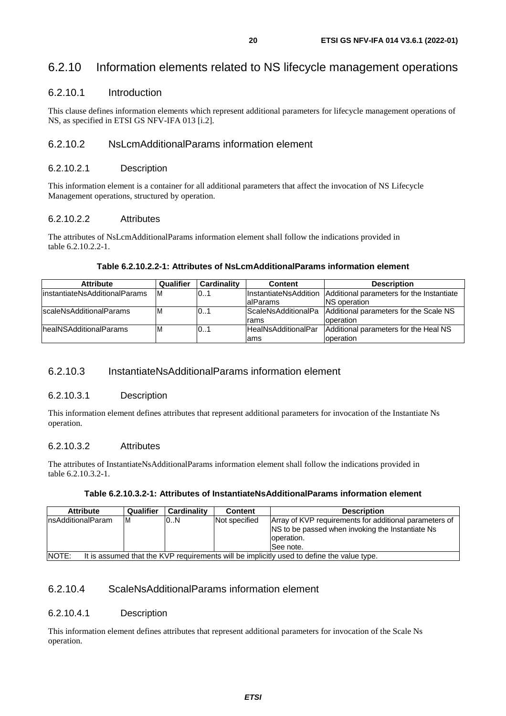## <span id="page-19-0"></span>6.2.10 Information elements related to NS lifecycle management operations

### 6.2.10.1 Introduction

This clause defines information elements which represent additional parameters for lifecycle management operations of NS, as specified in ETSI GS NFV-IFA 013 [[i.2](#page-7-0)].

## 6.2.10.2 NsLcmAdditionalParams information element

#### 6.2.10.2.1 Description

This information element is a container for all additional parameters that affect the invocation of NS Lifecycle Management operations, structured by operation.

#### 6.2.10.2.2 Attributes

The attributes of NsLcmAdditionalParams information element shall follow the indications provided in table 6.2.10.2.2-1.

#### **Table 6.2.10.2.2-1: Attributes of NsLcmAdditionalParams information element**

| <b>Attribute</b>               | Qualifier | <b>Cardinality</b> | <b>Content</b>             | <b>Description</b>                                           |
|--------------------------------|-----------|--------------------|----------------------------|--------------------------------------------------------------|
| linstantiateNsAdditionalParams | IM.       | 01                 | InstantiateNsAddition      | Additional parameters for the Instantiate                    |
|                                |           |                    | <b>lalParams</b>           | <b>INS</b> operation                                         |
| lscaleNsAdditionalParams       | M         | 01                 |                            | ScaleNsAdditionalPa   Additional parameters for the Scale NS |
|                                |           |                    | Irams                      | operation                                                    |
| lhealNSAdditionalParams        | ΙM        | 01                 | <b>HealNsAdditionalPar</b> | Additional parameters for the Heal NS                        |
|                                |           |                    | lams                       | operation                                                    |

## 6.2.10.3 InstantiateNsAdditionalParams information element

#### 6.2.10.3.1 Description

This information element defines attributes that represent additional parameters for invocation of the Instantiate Ns operation.

#### 6.2.10.3.2 Attributes

The attributes of InstantiateNsAdditionalParams information element shall follow the indications provided in table 6.2.10.3.2-1.

#### **Table 6.2.10.3.2-1: Attributes of InstantiateNsAdditionalParams information element**

| <b>Attribute</b>                                                                                          | Qualifier | Cardinality | <b>Content</b> | <b>Description</b>                                                                                                                      |  |  |
|-----------------------------------------------------------------------------------------------------------|-----------|-------------|----------------|-----------------------------------------------------------------------------------------------------------------------------------------|--|--|
| InsAdditionalParam                                                                                        | ΙM        | 0.N         | Not specified  | Array of KVP requirements for additional parameters of<br>INS to be passed when invoking the Instantiate Ns<br>operation.<br>ISee note. |  |  |
| <b>NOTE:</b><br>It is assumed that the KVP requirements will be implicitly used to define the value type. |           |             |                |                                                                                                                                         |  |  |

## 6.2.10.4 ScaleNsAdditionalParams information element

#### 6.2.10.4.1 Description

This information element defines attributes that represent additional parameters for invocation of the Scale Ns operation.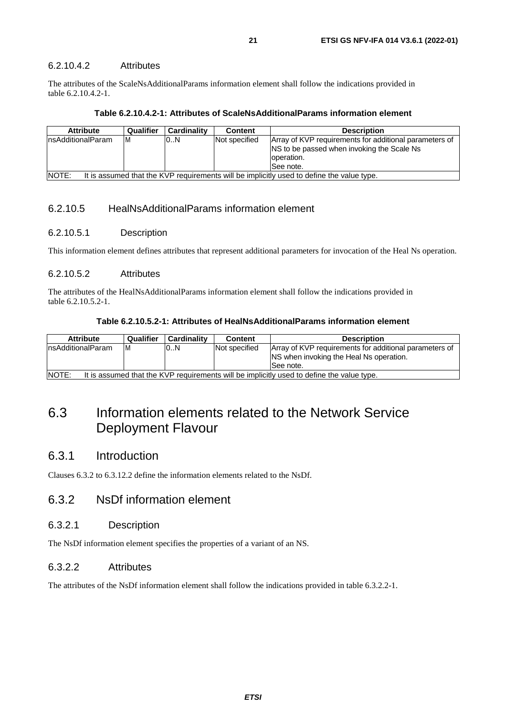<span id="page-20-0"></span>The attributes of the ScaleNsAdditionalParams information element shall follow the indications provided in table 6.2.10.4.2-1.

|  |  |  | Table 6.2.10.4.2-1: Attributes of ScaleNsAdditionalParams information element |  |
|--|--|--|-------------------------------------------------------------------------------|--|
|--|--|--|-------------------------------------------------------------------------------|--|

| <b>Attribute</b>                                                                                          | Qualifier | Cardinality | <b>Content</b> | <b>Description</b>                                                                                                                |  |
|-----------------------------------------------------------------------------------------------------------|-----------|-------------|----------------|-----------------------------------------------------------------------------------------------------------------------------------|--|
| InsAdditionalParam                                                                                        | ΙM        | 0.N         | Not specified  | Array of KVP requirements for additional parameters of<br>INS to be passed when invoking the Scale Ns<br>operation.<br>lSee note. |  |
| <b>NOTE:</b><br>It is assumed that the KVP requirements will be implicitly used to define the value type. |           |             |                |                                                                                                                                   |  |

#### 6.2.10.5 HealNsAdditionalParams information element

#### 6.2.10.5.1 Description

This information element defines attributes that represent additional parameters for invocation of the Heal Ns operation.

#### 6.2.10.5.2 Attributes

The attributes of the HealNsAdditionalParams information element shall follow the indications provided in table 6.2.10.5.2-1.

#### **Table 6.2.10.5.2-1: Attributes of HealNsAdditionalParams information element**

| <b>Attribute</b>                                                                                   | Qualifier | Cardinality | Content       | <b>Description</b>                                                                                              |  |
|----------------------------------------------------------------------------------------------------|-----------|-------------|---------------|-----------------------------------------------------------------------------------------------------------------|--|
| InsAdditionalParam                                                                                 | ΙM        | 0.N         | Not specified | Array of KVP requirements for additional parameters of<br>INS when invoking the Heal Ns operation.<br>See note. |  |
| NOTE:<br>It is assumed that the KVP requirements will be implicitly used to define the value type. |           |             |               |                                                                                                                 |  |

## 6.3 Information elements related to the Network Service Deployment Flavour

## 6.3.1 Introduction

Clauses 6.3.2 to 6.3.12.2 define the information elements related to the NsDf.

## 6.3.2 NsDf information element

#### 6.3.2.1 Description

The NsDf information element specifies the properties of a variant of an NS.

#### 6.3.2.2 Attributes

The attributes of the NsDf information element shall follow the indications provided in table 6.3.2.2-1.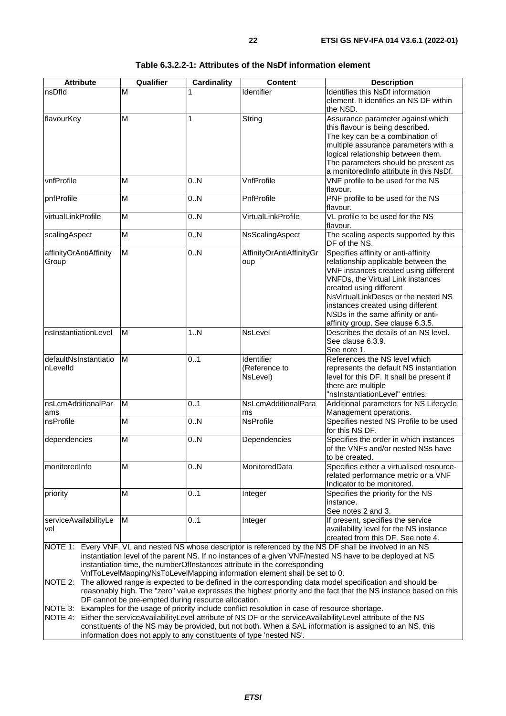| <b>Attribute</b>                  | Qualifier               | Cardinality | <b>Content</b>                                                                                                                                        | <b>Description</b>                                                                                                                                                                                                                                                                                                                                |
|-----------------------------------|-------------------------|-------------|-------------------------------------------------------------------------------------------------------------------------------------------------------|---------------------------------------------------------------------------------------------------------------------------------------------------------------------------------------------------------------------------------------------------------------------------------------------------------------------------------------------------|
| nsDfld                            | M                       |             | Identifier                                                                                                                                            | Identifies this NsDf information<br>element. It identifies an NS DF within<br>the NSD.                                                                                                                                                                                                                                                            |
| flavourKey                        | M                       | 1           | String                                                                                                                                                | Assurance parameter against which<br>this flavour is being described.<br>The key can be a combination of<br>multiple assurance parameters with a<br>logical relationship between them.<br>The parameters should be present as<br>a monitoredInfo attribute in this NsDf.                                                                          |
| vnfProfile                        | M                       | 0.N         | <b>VnfProfile</b>                                                                                                                                     | VNF profile to be used for the NS<br>flavour.                                                                                                                                                                                                                                                                                                     |
| pnfProfile                        | M                       | 0.N         | PnfProfile                                                                                                                                            | PNF profile to be used for the NS<br>flavour.                                                                                                                                                                                                                                                                                                     |
| virtualLinkProfile                | M                       | 0.N         | VirtualLinkProfile                                                                                                                                    | VL profile to be used for the NS<br>flavour.                                                                                                                                                                                                                                                                                                      |
| scalingAspect                     | $\overline{\mathsf{M}}$ | 0.N         | NsScalingAspect                                                                                                                                       | The scaling aspects supported by this<br>DF of the NS.                                                                                                                                                                                                                                                                                            |
| affinityOrAntiAffinity<br>Group   | M                       | 0.N         | AffinityOrAntiAffinityGr<br>oup                                                                                                                       | Specifies affinity or anti-affinity<br>relationship applicable between the<br>VNF instances created using different<br><b>VNFDs, the Virtual Link instances</b><br>created using different<br>NsVirtualLinkDescs or the nested NS<br>instances created using different<br>NSDs in the same affinity or anti-<br>affinity group. See clause 6.3.5. |
| nsInstantiationLevel              | M                       | 1N          | NsLevel                                                                                                                                               | Describes the details of an NS level.<br>See clause 6.3.9.<br>See note 1.                                                                                                                                                                                                                                                                         |
| defaultNsInstantiatio<br>nLevelId | M                       | 0.1         | Identifier<br>(Reference to<br>NsLevel)                                                                                                               | References the NS level which<br>represents the default NS instantiation<br>level for this DF. It shall be present if<br>there are multiple<br>"nsInstantiationLevel" entries.                                                                                                                                                                    |
| nsLcmAdditionalPar<br>ams         | M                       | 0.1         | NsLcmAdditionalPara<br>ms                                                                                                                             | Additional parameters for NS Lifecycle<br>Management operations.                                                                                                                                                                                                                                                                                  |
| nsProfile                         | $\overline{M}$          | 0.N         | <b>NsProfile</b>                                                                                                                                      | Specifies nested NS Profile to be used<br>for this NS DF.                                                                                                                                                                                                                                                                                         |
| dependencies                      | M                       | 0.N         | Dependencies                                                                                                                                          | Specifies the order in which instances<br>of the VNFs and/or nested NSs have<br>to be created.                                                                                                                                                                                                                                                    |
| monitoredInfo                     | M                       | 0N          | MonitoredData                                                                                                                                         | Specifies either a virtualised resource-<br>related performance metric or a VNF<br>Indicator to be monitored.                                                                                                                                                                                                                                     |
| priority                          | M                       | 0.1         | Integer                                                                                                                                               | Specifies the priority for the NS<br>instance.<br>See notes 2 and 3.                                                                                                                                                                                                                                                                              |
| serviceAvailabilityLe<br>vel      | ΙM                      | 0.1         | Integer                                                                                                                                               | If present, specifies the service<br>availability level for the NS instance<br>created from this DF. See note 4.                                                                                                                                                                                                                                  |
|                                   |                         |             | instantiation time, the numberOfInstances attribute in the corresponding<br>VnfToLevelMapping/NsToLevelMapping information element shall be set to 0. | NOTE 1: Every VNF, VL and nested NS whose descriptor is referenced by the NS DF shall be involved in an NS<br>instantiation level of the parent NS. If no instances of a given VNF/nested NS have to be deployed at NS                                                                                                                            |

#### **Table 6.3.2.2-1: Attributes of the NsDf information element**

NOTE 2: The allowed range is expected to be defined in the corresponding data model specification and should be reasonably high. The "zero" value expresses the highest priority and the fact that the NS instance based on this DF cannot be pre-empted during resource allocation.

NOTE 3: Examples for the usage of priority include conflict resolution in case of resource shortage.

NOTE 4: Either the serviceAvailabilityLevel attribute of NS DF or the serviceAvailabilityLevel attribute of the NS constituents of the NS may be provided, but not both. When a SAL information is assigned to an NS, this information does not apply to any constituents of type 'nested NS'.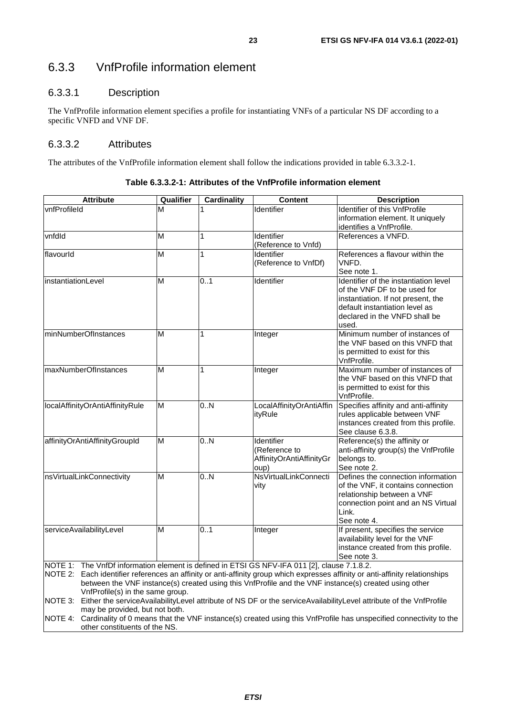## <span id="page-22-0"></span>6.3.3 VnfProfile information element

### 6.3.3.1 Description

The VnfProfile information element specifies a profile for instantiating VNFs of a particular NS DF according to a specific VNFD and VNF DF.

## 6.3.3.2 Attributes

The attributes of the VnfProfile information element shall follow the indications provided in table 6.3.3.2-1.

| <b>Attribute</b>                                                                             | Qualifier | <b>Cardinality</b> | <b>Content</b>           | <b>Description</b>                                                                                                            |
|----------------------------------------------------------------------------------------------|-----------|--------------------|--------------------------|-------------------------------------------------------------------------------------------------------------------------------|
| vnfProfileId                                                                                 | м         |                    | Identifier               | Identifier of this VnfProfile                                                                                                 |
|                                                                                              |           |                    |                          | information element. It uniquely<br>identifies a VnfProfile.                                                                  |
| vnfdld                                                                                       | М         | 1                  | Identifier               | References a VNFD.                                                                                                            |
|                                                                                              |           |                    | (Reference to Vnfd)      |                                                                                                                               |
| flavourld                                                                                    | М         | $\mathbf{1}$       | Identifier               | References a flavour within the                                                                                               |
|                                                                                              |           |                    | (Reference to VnfDf)     | VNFD.                                                                                                                         |
|                                                                                              |           |                    |                          | See note 1.                                                                                                                   |
| instantiationLevel                                                                           | M         | 0.1                | Identifier               | Identifier of the instantiation level                                                                                         |
|                                                                                              |           |                    |                          | of the VNF DF to be used for                                                                                                  |
|                                                                                              |           |                    |                          | instantiation. If not present, the                                                                                            |
|                                                                                              |           |                    |                          | default instantiation level as                                                                                                |
|                                                                                              |           |                    |                          | declared in the VNFD shall be                                                                                                 |
|                                                                                              |           |                    |                          | used.                                                                                                                         |
| minNumberOfInstances                                                                         | M         | 1                  | Integer                  | Minimum number of instances of                                                                                                |
|                                                                                              |           |                    |                          | the VNF based on this VNFD that                                                                                               |
|                                                                                              |           |                    |                          | is permitted to exist for this<br>VnfProfile.                                                                                 |
| maxNumberOfInstances                                                                         | M         | 1                  |                          | Maximum number of instances of                                                                                                |
|                                                                                              |           |                    | Integer                  | the VNF based on this VNFD that                                                                                               |
|                                                                                              |           |                    |                          | is permitted to exist for this                                                                                                |
|                                                                                              |           |                    |                          | VnfProfile.                                                                                                                   |
| localAffinityOrAntiAffinityRule                                                              | М         | 0.N                | LocalAffinityOrAntiAffin | Specifies affinity and anti-affinity                                                                                          |
|                                                                                              |           |                    | ityRule                  | rules applicable between VNF                                                                                                  |
|                                                                                              |           |                    |                          | instances created from this profile.                                                                                          |
|                                                                                              |           |                    |                          | See clause 6.3.8.                                                                                                             |
| affinityOrAntiAffinityGroupId                                                                | М         | 0N                 | Identifier               | Reference(s) the affinity or                                                                                                  |
|                                                                                              |           |                    | (Reference to            | anti-affinity group(s) the VnfProfile                                                                                         |
|                                                                                              |           |                    | AffinityOrAntiAffinityGr | belongs to.                                                                                                                   |
|                                                                                              |           |                    | oup)                     | See note 2.                                                                                                                   |
| nsVirtualLinkConnectivity                                                                    | M         | 0.N                | NsVirtualLinkConnecti    | Defines the connection information                                                                                            |
|                                                                                              |           |                    | vity                     | of the VNF, it contains connection                                                                                            |
|                                                                                              |           |                    |                          | relationship between a VNF                                                                                                    |
|                                                                                              |           |                    |                          | connection point and an NS Virtual                                                                                            |
|                                                                                              |           |                    |                          | Link.                                                                                                                         |
|                                                                                              |           |                    |                          | See note 4.                                                                                                                   |
| serviceAvailabilityLevel                                                                     | M         | 0.1                | Integer                  | If present, specifies the service                                                                                             |
|                                                                                              |           |                    |                          | availability level for the VNF                                                                                                |
|                                                                                              |           |                    |                          | instance created from this profile.<br>See note 3.                                                                            |
| NOTE 1: The VnfDf information element is defined in ETSI GS NFV-IFA 011 [2], clause 7.1.8.2. |           |                    |                          |                                                                                                                               |
|                                                                                              |           |                    |                          | NOTE 2: Fach identifier references an affinity or anti-affinity group which expresses affinity or anti-affinity relationships |

NOTE 2: Each identifier references an affinity or anti-affinity group which expresses affinity or anti-affinity relationships between the VNF instance(s) created using this VnfProfile and the VNF instance(s) created using other VnfProfile(s) in the same group.

NOTE 3: Either the serviceAvailabilityLevel attribute of NS DF or the serviceAvailabilityLevel attribute of the VnfProfile may be provided, but not both.

NOTE 4: Cardinality of 0 means that the VNF instance(s) created using this VnfProfile has unspecified connectivity to the other constituents of the NS.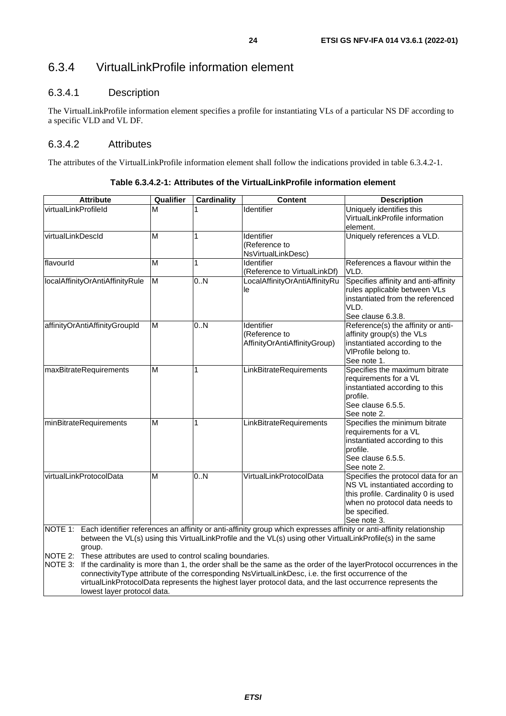## <span id="page-23-0"></span>6.3.4 VirtualLinkProfile information element

## 6.3.4.1 Description

The VirtualLinkProfile information element specifies a profile for instantiating VLs of a particular NS DF according to a specific VLD and VL DF.

## 6.3.4.2 Attributes

The attributes of the VirtualLinkProfile information element shall follow the indications provided in table 6.3.4.2-1.

| <b>Attribute</b>                                                                                                                   | Qualifier | <b>Cardinality</b> | <b>Content</b>                                                                                                                                                                                                                                                                                                                   | <b>Description</b>                                                                                                                                                                                                                          |
|------------------------------------------------------------------------------------------------------------------------------------|-----------|--------------------|----------------------------------------------------------------------------------------------------------------------------------------------------------------------------------------------------------------------------------------------------------------------------------------------------------------------------------|---------------------------------------------------------------------------------------------------------------------------------------------------------------------------------------------------------------------------------------------|
| virtualLinkProfileId                                                                                                               | M         |                    | Identifier                                                                                                                                                                                                                                                                                                                       | Uniquely identifies this<br>VirtualLinkProfile information<br>element.                                                                                                                                                                      |
| virtualLinkDescld                                                                                                                  | M         | 1                  | Identifier<br>(Reference to<br>NsVirtualLinkDesc)                                                                                                                                                                                                                                                                                | Uniquely references a VLD.                                                                                                                                                                                                                  |
| flavourld                                                                                                                          | M         | 1                  | Identifier<br>(Reference to VirtualLinkDf)                                                                                                                                                                                                                                                                                       | References a flavour within the<br>VLD.                                                                                                                                                                                                     |
| localAffinityOrAntiAffinityRule                                                                                                    | M         | 0.N                | LocalAffinityOrAntiAffinityRu<br>le                                                                                                                                                                                                                                                                                              | Specifies affinity and anti-affinity<br>rules applicable between VLs<br>instantiated from the referenced<br>VLD.<br>See clause 6.3.8.                                                                                                       |
| affinityOrAntiAffinityGroupId                                                                                                      | M         | 0.N                | Identifier<br>(Reference to<br>AffinityOrAntiAffinityGroup)                                                                                                                                                                                                                                                                      | Reference(s) the affinity or anti-<br>affinity group(s) the VLs<br>instantiated according to the<br>VIProfile belong to.<br>See note 1.                                                                                                     |
| maxBitrateRequirements                                                                                                             | M         | 1                  | LinkBitrateRequirements                                                                                                                                                                                                                                                                                                          | Specifies the maximum bitrate<br>requirements for a VL<br>instantiated according to this<br>profile.<br>See clause 6.5.5.<br>See note 2.                                                                                                    |
| minBitrateRequirements                                                                                                             | M         | 1                  | LinkBitrateRequirements                                                                                                                                                                                                                                                                                                          | Specifies the minimum bitrate<br>requirements for a VL<br>instantiated according to this<br>profile.<br>See clause 6.5.5.<br>See note 2.                                                                                                    |
| virtualLinkProtocolData                                                                                                            | M         | 0.N                | VirtualLinkProtocolData                                                                                                                                                                                                                                                                                                          | Specifies the protocol data for an<br>NS VL instantiated according to<br>this profile. Cardinality 0 is used<br>when no protocol data needs to<br>be specified.<br>See note 3.                                                              |
| NOTE 1:<br>group.<br>NOTE 2:<br>These attributes are used to control scaling boundaries.<br>NOTE 3:<br>lowest layer protocol data. |           |                    | between the VL(s) using this VirtualLinkProfile and the VL(s) using other VirtualLinkProfile(s) in the same<br>connectivityType attribute of the corresponding NsVirtualLinkDesc, i.e. the first occurrence of the<br>virtualLinkProtocolData represents the highest layer protocol data, and the last occurrence represents the | Each identifier references an affinity or anti-affinity group which expresses affinity or anti-affinity relationship<br>If the cardinality is more than 1, the order shall be the same as the order of the layerProtocol occurrences in the |

**Table 6.3.4.2-1: Attributes of the VirtualLinkProfile information element**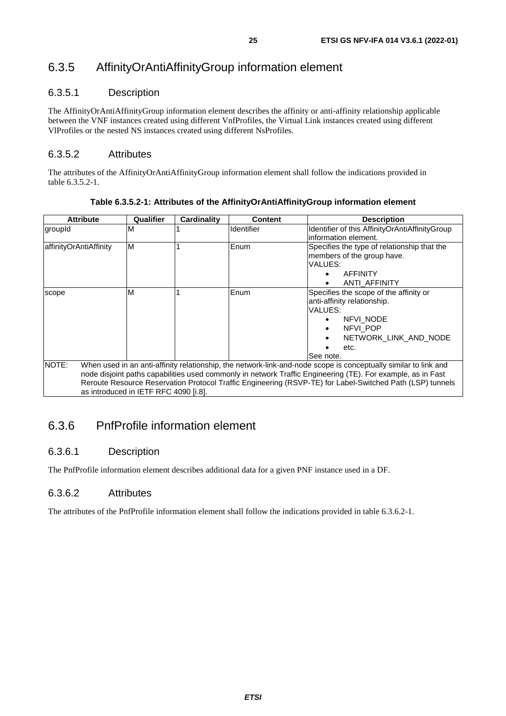## <span id="page-24-0"></span>6.3.5 AffinityOrAntiAffinityGroup information element

## 6.3.5.1 Description

The AffinityOrAntiAffinityGroup information element describes the affinity or anti-affinity relationship applicable between the VNF instances created using different VnfProfiles, the Virtual Link instances created using different VlProfiles or the nested NS instances created using different NsProfiles.

## 6.3.5.2 Attributes

The attributes of the AffinityOrAntiAffinityGroup information element shall follow the indications provided in table 6.3.5.2-1.

| <b>Attribute</b>       | Qualifier                                                                                                       | Cardinality | <b>Content</b> | <b>Description</b>                             |  |  |
|------------------------|-----------------------------------------------------------------------------------------------------------------|-------------|----------------|------------------------------------------------|--|--|
| groupId                | M                                                                                                               |             | Identifier     | Identifier of this AffinityOrAntiAffinityGroup |  |  |
|                        |                                                                                                                 |             |                | information element.                           |  |  |
| affinityOrAntiAffinity | M                                                                                                               |             | Enum           | Specifies the type of relationship that the    |  |  |
|                        |                                                                                                                 |             |                | members of the group have.                     |  |  |
|                        |                                                                                                                 |             |                | VALUES:                                        |  |  |
|                        |                                                                                                                 |             |                | <b>AFFINITY</b>                                |  |  |
|                        |                                                                                                                 |             |                | ANTI AFFINITY                                  |  |  |
| scope                  | M                                                                                                               |             | Enum           | Specifies the scope of the affinity or         |  |  |
|                        |                                                                                                                 |             |                | anti-affinity relationship.                    |  |  |
|                        |                                                                                                                 |             |                | <b>VALUES:</b>                                 |  |  |
|                        |                                                                                                                 |             |                | NFVI NODE                                      |  |  |
|                        |                                                                                                                 |             |                | NFVI POP<br>٠                                  |  |  |
|                        |                                                                                                                 |             |                | NETWORK LINK AND NODE<br>٠                     |  |  |
|                        |                                                                                                                 |             |                | etc.                                           |  |  |
|                        |                                                                                                                 |             |                | See note.                                      |  |  |
| NOTE:                  | When used in an anti-affinity relationship, the network-link-and-node scope is conceptually similar to link and |             |                |                                                |  |  |
|                        | node disjoint paths capabilities used commonly in network Traffic Engineering (TE). For example, as in Fast     |             |                |                                                |  |  |
|                        | Reroute Resource Reservation Protocol Traffic Engineering (RSVP-TE) for Label-Switched Path (LSP) tunnels       |             |                |                                                |  |  |
|                        | as introduced in IETF RFC 4090 [i.8].                                                                           |             |                |                                                |  |  |

**Table 6.3.5.2-1: Attributes of the AffinityOrAntiAffinityGroup information element** 

## 6.3.6 PnfProfile information element

## 6.3.6.1 Description

The PnfProfile information element describes additional data for a given PNF instance used in a DF.

## 6.3.6.2 Attributes

The attributes of the PnfProfile information element shall follow the indications provided in table 6.3.6.2-1.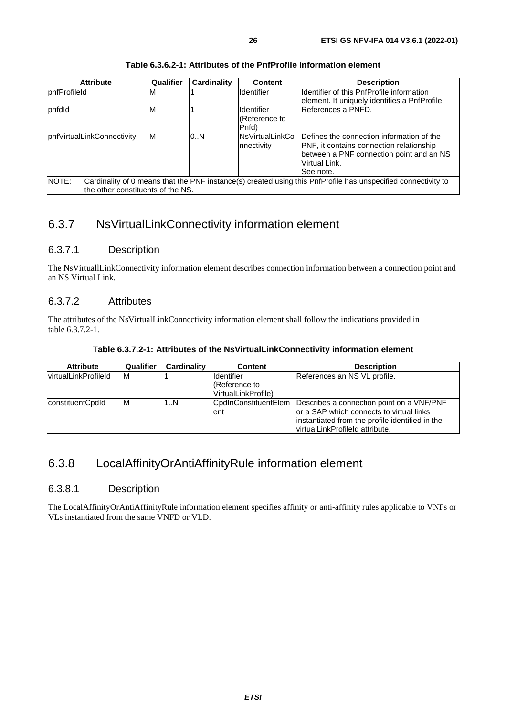<span id="page-25-0"></span>

| <b>Attribute</b>                  | <b>Qualifier</b> | Cardinality | <b>Content</b>                 | <b>Description</b>                                                                                            |
|-----------------------------------|------------------|-------------|--------------------------------|---------------------------------------------------------------------------------------------------------------|
| pnfProfileId                      | м                |             | <b>Identifier</b>              | Ildentifier of this PnfProfile information                                                                    |
|                                   |                  |             |                                | lelement. It uniquely identifies a PnfProfile.                                                                |
| pnfdld                            | м                |             | <b>Identifier</b>              | IReferences a PNFD.                                                                                           |
|                                   |                  |             | (Reference to                  |                                                                                                               |
|                                   |                  |             | Pnfd)                          |                                                                                                               |
| pnfVirtualLinkConnectivity        | M                | 0.N         | lNsVirtualLinkCo<br>nnectivity | Defines the connection information of the<br>PNF, it contains connection relationship                         |
|                                   |                  |             |                                | between a PNF connection point and an NS<br>Virtual Link.                                                     |
|                                   |                  |             |                                |                                                                                                               |
|                                   |                  |             |                                | See note.                                                                                                     |
| <b>NOTE:</b>                      |                  |             |                                | Cardinality of 0 means that the PNF instance(s) created using this PnfProfile has unspecified connectivity to |
| the other constituents of the NS. |                  |             |                                |                                                                                                               |

#### **Table 6.3.6.2-1: Attributes of the PnfProfile information element**

## 6.3.7 NsVirtualLinkConnectivity information element

### 6.3.7.1 Description

The NsVirtuallLinkConnectivity information element describes connection information between a connection point and an NS Virtual Link.

#### 6.3.7.2 Attributes

The attributes of the NsVirtualLinkConnectivity information element shall follow the indications provided in table 6.3.7.2-1.

#### **Table 6.3.7.2-1: Attributes of the NsVirtualLinkConnectivity information element**

| <b>Attribute</b>            | Qualifier | <b>Cardinality</b> | Content              | <b>Description</b>                              |
|-----------------------------|-----------|--------------------|----------------------|-------------------------------------------------|
| <b>virtualLinkProfileId</b> | ΙM        |                    | <b>Identifier</b>    | References an NS VL profile.                    |
|                             |           |                    | Reference to         |                                                 |
|                             |           |                    | VirtualLinkProfile)  |                                                 |
| constituentCpdId            | ΙM        | 1N                 | CpdInConstituentElem | Describes a connection point on a VNF/PNF       |
|                             |           |                    | lent                 | or a SAP which connects to virtual links        |
|                             |           |                    |                      | instantiated from the profile identified in the |
|                             |           |                    |                      | lvirtualLinkProfileId attribute.                |

## 6.3.8 LocalAffinityOrAntiAffinityRule information element

#### 6.3.8.1 Description

The LocalAffinityOrAntiAffinityRule information element specifies affinity or anti-affinity rules applicable to VNFs or VLs instantiated from the same VNFD or VLD.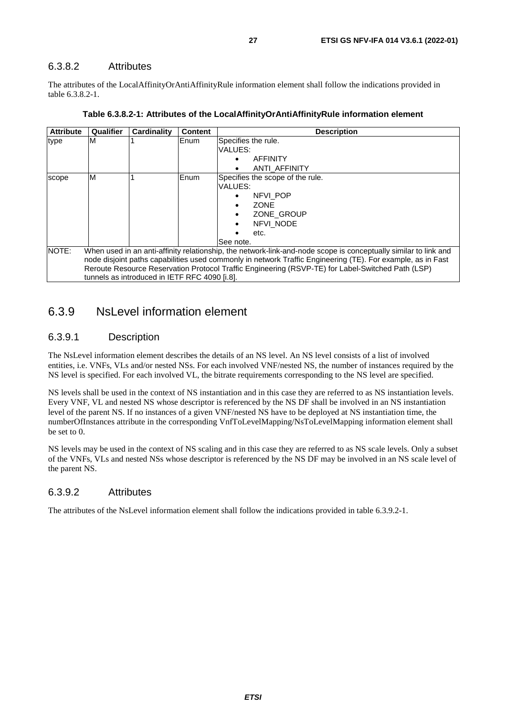## <span id="page-26-0"></span>6.3.8.2 Attributes

The attributes of the LocalAffinityOrAntiAffinityRule information element shall follow the indications provided in table 6.3.8.2-1.

| <b>Attribute</b> | Qualifier                                                                                                                                                                                                                                                                                                                                                                            | <b>Cardinality</b> | <b>Content</b> | <b>Description</b>                                                                                                               |  |  |
|------------------|--------------------------------------------------------------------------------------------------------------------------------------------------------------------------------------------------------------------------------------------------------------------------------------------------------------------------------------------------------------------------------------|--------------------|----------------|----------------------------------------------------------------------------------------------------------------------------------|--|--|
| type             | М                                                                                                                                                                                                                                                                                                                                                                                    |                    | Enum           | Specifies the rule.<br>VALUES:<br><b>AFFINITY</b><br>$\bullet$<br>ANTI AFFINITY<br>٠                                             |  |  |
| scope            | M                                                                                                                                                                                                                                                                                                                                                                                    |                    | <b>IEnum</b>   | Specifies the scope of the rule.<br>VALUES:<br>NFVI POP<br>٠<br><b>ZONE</b><br>ZONE GROUP<br>٠<br>NFVI NODE<br>etc.<br>See note. |  |  |
| <b>INOTE:</b>    | When used in an anti-affinity relationship, the network-link-and-node scope is conceptually similar to link and<br>node disjoint paths capabilities used commonly in network Traffic Engineering (TE). For example, as in Fast<br>Reroute Resource Reservation Protocol Traffic Engineering (RSVP-TE) for Label-Switched Path (LSP)<br>tunnels as introduced in IETF RFC 4090 [i.8]. |                    |                |                                                                                                                                  |  |  |

## 6.3.9 NsLevel information element

## 6.3.9.1 Description

The NsLevel information element describes the details of an NS level. An NS level consists of a list of involved entities, i.e. VNFs, VLs and/or nested NSs. For each involved VNF/nested NS, the number of instances required by the NS level is specified. For each involved VL, the bitrate requirements corresponding to the NS level are specified.

NS levels shall be used in the context of NS instantiation and in this case they are referred to as NS instantiation levels. Every VNF, VL and nested NS whose descriptor is referenced by the NS DF shall be involved in an NS instantiation level of the parent NS. If no instances of a given VNF/nested NS have to be deployed at NS instantiation time, the numberOfInstances attribute in the corresponding VnfToLevelMapping/NsToLevelMapping information element shall be set to 0.

NS levels may be used in the context of NS scaling and in this case they are referred to as NS scale levels. Only a subset of the VNFs, VLs and nested NSs whose descriptor is referenced by the NS DF may be involved in an NS scale level of the parent NS.

### 6.3.9.2 Attributes

The attributes of the NsLevel information element shall follow the indications provided in table 6.3.9.2-1.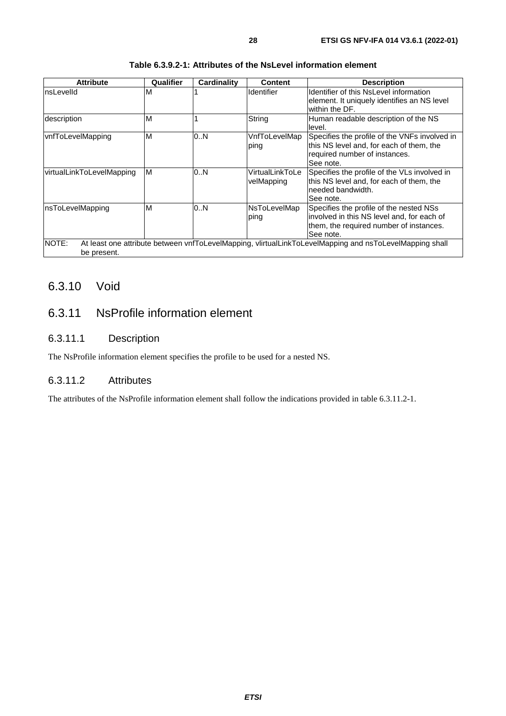<span id="page-27-0"></span>

| <b>Attribute</b>          | Qualifier | <b>Cardinality</b> | <b>Content</b>                | <b>Description</b>                                                                                                                            |
|---------------------------|-----------|--------------------|-------------------------------|-----------------------------------------------------------------------------------------------------------------------------------------------|
| InsLevelId                | M         |                    | <b>Identifier</b>             | Identifier of this NsLevel information<br>element. It uniquely identifies an NS level<br>within the DF.                                       |
| description               | M         |                    | String                        | Human readable description of the NS<br>level.                                                                                                |
| vnfToLevelMapping         | M         | 0N                 | VnfToLevelMap<br>ping         | Specifies the profile of the VNFs involved in<br>this NS level and, for each of them, the<br>required number of instances.<br>See note.       |
| virtualLinkToLevelMapping | M         | 0N                 | VirtualLinkToLe<br>velMapping | Specifies the profile of the VLs involved in<br>this NS level and, for each of them, the<br>needed bandwidth.<br>See note.                    |
| InsToLevelMapping         | M         | 0N                 | NsToLevelMap<br>ping          | Specifies the profile of the nested NSs<br>involved in this NS level and, for each of<br>them, the required number of instances.<br>See note. |
| NOTE:<br>be present.      |           |                    |                               | At least one attribute between vnfToLevelMapping, vlirtualLinkToLevelMapping and nsToLevelMapping shall                                       |

#### **Table 6.3.9.2-1: Attributes of the NsLevel information element**

## 6.3.10 Void

## 6.3.11 NsProfile information element

## 6.3.11.1 Description

The NsProfile information element specifies the profile to be used for a nested NS.

## 6.3.11.2 Attributes

The attributes of the NsProfile information element shall follow the indications provided in table 6.3.11.2-1.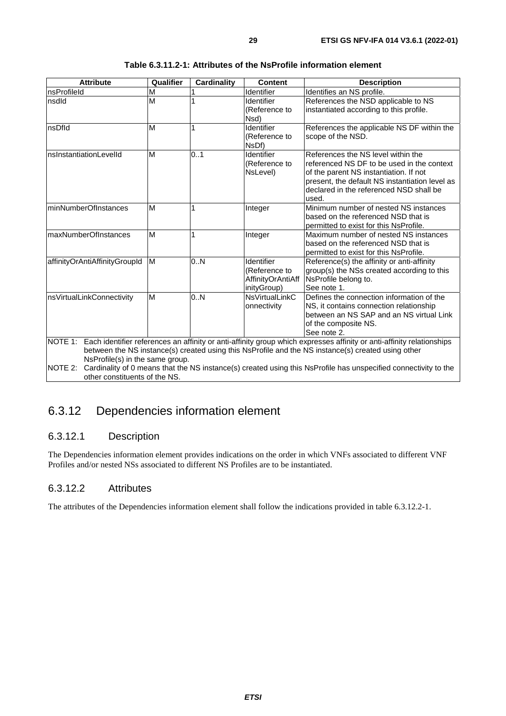<span id="page-28-0"></span>

| <b>Attribute</b>                | Qualifier | <b>Cardinality</b> | <b>Content</b>        | <b>Description</b>                                                                                                            |  |  |
|---------------------------------|-----------|--------------------|-----------------------|-------------------------------------------------------------------------------------------------------------------------------|--|--|
| nsProfileId                     | M         |                    | Identifier            | Identifies an NS profile.                                                                                                     |  |  |
| nsdld                           | M         |                    | <b>Identifier</b>     | References the NSD applicable to NS                                                                                           |  |  |
|                                 |           |                    | (Reference to         | instantiated according to this profile.                                                                                       |  |  |
|                                 |           |                    | Nsd)                  |                                                                                                                               |  |  |
| nsDfld                          | M         | 1                  | Identifier            | References the applicable NS DF within the                                                                                    |  |  |
|                                 |           |                    | (Reference to         | scope of the NSD.                                                                                                             |  |  |
|                                 |           |                    | NsDf)                 |                                                                                                                               |  |  |
| nsInstantiationLevelId          | M         | 01                 | Identifier            | References the NS level within the                                                                                            |  |  |
|                                 |           |                    | (Reference to         | referenced NS DF to be used in the context                                                                                    |  |  |
|                                 |           |                    | NsLevel)              | of the parent NS instantiation. If not                                                                                        |  |  |
|                                 |           |                    |                       | present, the default NS instantiation level as                                                                                |  |  |
|                                 |           |                    |                       | declared in the referenced NSD shall be                                                                                       |  |  |
|                                 |           |                    |                       | used.                                                                                                                         |  |  |
| minNumberOfInstances            | M         | 1                  | Integer               | Minimum number of nested NS instances                                                                                         |  |  |
|                                 |           |                    |                       | based on the referenced NSD that is                                                                                           |  |  |
|                                 |           |                    |                       | permitted to exist for this NsProfile.                                                                                        |  |  |
| maxNumberOfInstances            | M         | 1                  | Integer               | Maximum number of nested NS instances                                                                                         |  |  |
|                                 |           |                    |                       | based on the referenced NSD that is                                                                                           |  |  |
|                                 |           |                    |                       | permitted to exist for this NsProfile.                                                                                        |  |  |
| affinityOrAntiAffinityGroupId   | M         | 0.N                | Identifier            | Reference(s) the affinity or anti-affinity                                                                                    |  |  |
|                                 |           |                    | (Reference to         | group(s) the NSs created according to this                                                                                    |  |  |
|                                 |           |                    | AffinityOrAntiAff     | NsProfile belong to.                                                                                                          |  |  |
|                                 |           |                    | inityGroup)           | See note 1.                                                                                                                   |  |  |
| nsVirtualLinkConnectivity       | M         | 0.N                | <b>NsVirtualLinkC</b> | Defines the connection information of the                                                                                     |  |  |
|                                 |           |                    | onnectivity           | NS, it contains connection relationship                                                                                       |  |  |
|                                 |           |                    |                       | between an NS SAP and an NS virtual Link                                                                                      |  |  |
|                                 |           |                    |                       | of the composite NS.                                                                                                          |  |  |
|                                 |           |                    |                       | See note 2.                                                                                                                   |  |  |
|                                 |           |                    |                       | NOTE 1: Each identifier references an affinity or anti-affinity group which expresses affinity or anti-affinity relationships |  |  |
|                                 |           |                    |                       | between the NS instance(s) created using this NsProfile and the NS instance(s) created using other                            |  |  |
| NsProfile(s) in the same group. |           |                    |                       |                                                                                                                               |  |  |
| NOTE 2:                         |           |                    |                       | Cardinality of 0 means that the NS instance(s) created using this NsProfile has unspecified connectivity to the               |  |  |
| other constituents of the NS.   |           |                    |                       |                                                                                                                               |  |  |

## 6.3.12 Dependencies information element

## 6.3.12.1 Description

The Dependencies information element provides indications on the order in which VNFs associated to different VNF Profiles and/or nested NSs associated to different NS Profiles are to be instantiated.

### 6.3.12.2 Attributes

The attributes of the Dependencies information element shall follow the indications provided in table 6.3.12.2-1.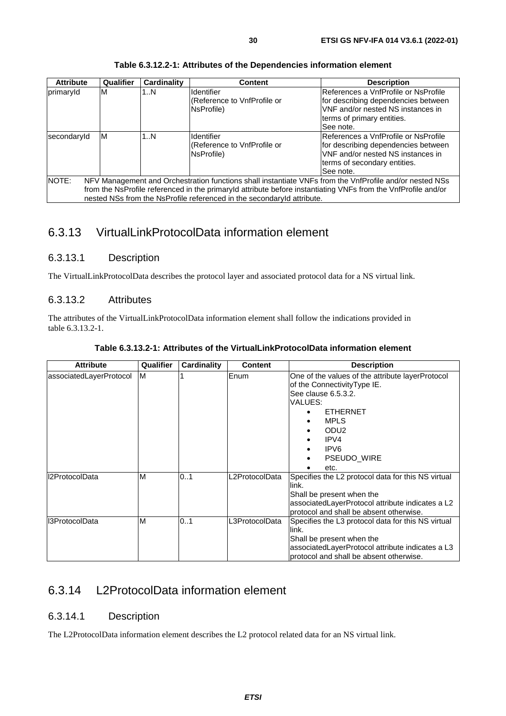<span id="page-29-0"></span>

| <b>Attribute</b> | Qualifier | Cardinality | <b>Content</b>                                                                                                                                                                                                                                                                                     | <b>Description</b>                                                                                                                                                    |
|------------------|-----------|-------------|----------------------------------------------------------------------------------------------------------------------------------------------------------------------------------------------------------------------------------------------------------------------------------------------------|-----------------------------------------------------------------------------------------------------------------------------------------------------------------------|
| primaryId        | M         | 1N          | <b>Identifier</b><br>(Reference to VnfProfile or<br>NsProfile)                                                                                                                                                                                                                                     | IReferences a VnfProfile or NsProfile<br>for describing dependencies between<br>VNF and/or nested NS instances in<br>terms of primary entities.<br>See note.          |
| secondaryId      | ΙM        | 1N          | Identifier<br>(Reference to VnfProfile or<br>NsProfile)                                                                                                                                                                                                                                            | <b>IReferences a VnfProfile or NsProfile</b><br>for describing dependencies between<br>VNF and/or nested NS instances in<br>terms of secondary entities.<br>See note. |
| NOTE:            |           |             | NFV Management and Orchestration functions shall instantiate VNFs from the VnfProfile and/or nested NSs<br>from the NsProfile referenced in the primaryld attribute before instantiating VNFs from the VnfProfile and/or<br>nested NSs from the NsProfile referenced in the secondaryId attribute. |                                                                                                                                                                       |

**Table 6.3.12.2-1: Attributes of the Dependencies information element** 

## 6.3.13 VirtualLinkProtocolData information element

## 6.3.13.1 Description

The VirtualLinkProtocolData describes the protocol layer and associated protocol data for a NS virtual link.

### 6.3.13.2 Attributes

The attributes of the VirtualLinkProtocolData information element shall follow the indications provided in table 6.3.13.2-1.

| <b>Attribute</b>        | Qualifier | <b>Cardinality</b> | <b>Content</b> | <b>Description</b>                                                                                                                                                                                                               |
|-------------------------|-----------|--------------------|----------------|----------------------------------------------------------------------------------------------------------------------------------------------------------------------------------------------------------------------------------|
| associatedLayerProtocol | M         |                    | Enum           | One of the values of the attribute layerProtocol<br>of the Connectivity Type IE.<br>See clause 6.5.3.2.<br>VALUES:<br><b>ETHERNET</b><br><b>MPLS</b><br>٠<br>ODU <sub>2</sub><br>IPV4<br>IPV6<br><b>PSEUDO WIRE</b><br>٠<br>etc. |
| I2ProtocolData          | M         | 01                 | L2ProtocolData | Specifies the L2 protocol data for this NS virtual<br>llink.<br>Shall be present when the<br>associatedLayerProtocol attribute indicates a L2<br>protocol and shall be absent otherwise.                                         |
| I3ProtocolData          | M         | 0.1                | L3ProtocolData | Specifies the L3 protocol data for this NS virtual<br>llink.<br>Shall be present when the<br>associatedLayerProtocol attribute indicates a L3<br>protocol and shall be absent otherwise.                                         |

**Table 6.3.13.2-1: Attributes of the VirtualLinkProtocolData information element** 

## 6.3.14 L2ProtocolData information element

### 6.3.14.1 Description

The L2ProtocolData information element describes the L2 protocol related data for an NS virtual link.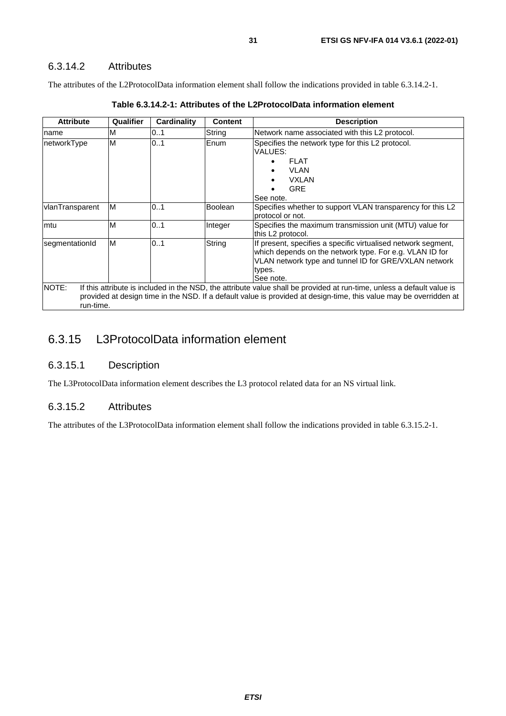## <span id="page-30-0"></span>6.3.14.2 Attributes

The attributes of the L2ProtocolData information element shall follow the indications provided in table 6.3.14.2-1.

| <b>Attribute</b>   | Qualifier | Cardinality | <b>Content</b> | <b>Description</b>                                                                                                                                                                                                                           |
|--------------------|-----------|-------------|----------------|----------------------------------------------------------------------------------------------------------------------------------------------------------------------------------------------------------------------------------------------|
| name               | ΙM        | 0.1         | String         | Network name associated with this L2 protocol.                                                                                                                                                                                               |
| networkType        | ΙM        | 0.1         | Enum           | Specifies the network type for this L2 protocol.<br>VALUES:<br><b>FLAT</b><br><b>VLAN</b><br><b>VXLAN</b><br><b>GRE</b><br>See note.                                                                                                         |
| vlanTransparent    | ΙM        | 0.1         | <b>Boolean</b> | Specifies whether to support VLAN transparency for this L2<br>protocol or not.                                                                                                                                                               |
| lmtu               | ΙM        | 0.1         | Integer        | Specifies the maximum transmission unit (MTU) value for<br>this L2 protocol.                                                                                                                                                                 |
| segmentationId     | M         | 0.1         | String         | If present, specifies a specific virtualised network segment,<br>which depends on the network type. For e.g. VLAN ID for<br>VLAN network type and tunnel ID for GRE/VXLAN network<br>types.<br>See note.                                     |
| NOTE:<br>run-time. |           |             |                | If this attribute is included in the NSD, the attribute value shall be provided at run-time, unless a default value is<br>provided at design time in the NSD. If a default value is provided at design-time, this value may be overridden at |

|--|--|--|--|

## 6.3.15 L3ProtocolData information element

#### 6.3.15.1 Description

The L3ProtocolData information element describes the L3 protocol related data for an NS virtual link.

### 6.3.15.2 Attributes

The attributes of the L3ProtocolData information element shall follow the indications provided in table 6.3.15.2-1.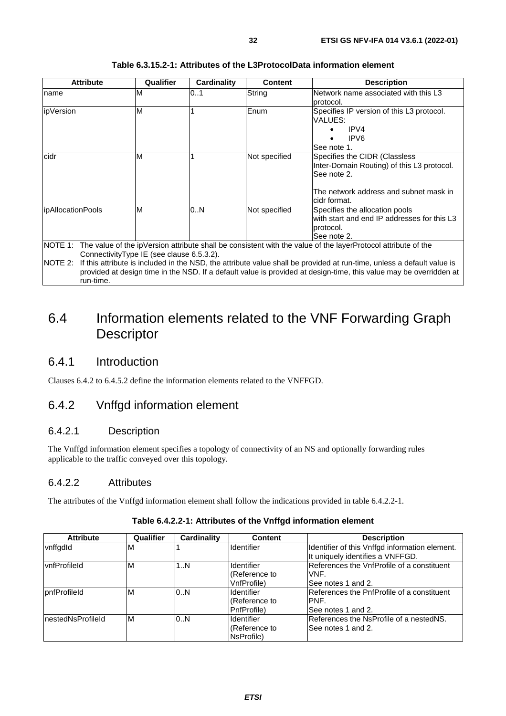<span id="page-31-0"></span>

| <b>Attribute</b>   | Qualifier                                 | Cardinality | <b>Content</b> | <b>Description</b>                                                                                                                                                                                                                              |
|--------------------|-------------------------------------------|-------------|----------------|-------------------------------------------------------------------------------------------------------------------------------------------------------------------------------------------------------------------------------------------------|
| Iname              | M                                         | 0.1         | String         | Network name associated with this L3<br>protocol.                                                                                                                                                                                               |
| ipVersion          | M                                         |             | Enum           | Specifies IP version of this L3 protocol.<br>VALUES:<br>IPV4<br>IPV <sub>6</sub><br>See note 1.                                                                                                                                                 |
| cidr               | M                                         |             | Not specified  | Specifies the CIDR (Classless<br>Inter-Domain Routing) of this L3 protocol.<br>See note 2.<br>The network address and subnet mask in<br>lcidr format.                                                                                           |
| lipAllocationPools | M                                         | 10N         | Not specified  | Specifies the allocation pools<br>with start and end IP addresses for this L3<br>protocol.<br>See note 2.                                                                                                                                       |
| $NOTF$ 2.          | ConnectivityType IE (see clause 6.5.3.2). |             |                | NOTE 1: The value of the ipVersion attribute shall be consistent with the value of the layerProtocol attribute of the<br>If this attribute is included in the NSD, the attribute value shall be provided at run-time, unless a default value is |

#### **Table 6.3.15.2-1: Attributes of the L3ProtocolData information element**

NOTE 2: If this attribute is included in the NSD, the attribute value shall be provided at run-time, unless a default value is

provided at design time in the NSD. If a default value is provided at design-time, this value may be overridden at run-time.

## 6.4 Information elements related to the VNF Forwarding Graph **Descriptor**

## 6.4.1 Introduction

Clauses 6.4.2 to 6.4.5.2 define the information elements related to the VNFFGD.

## 6.4.2 Vnffgd information element

#### 6.4.2.1 Description

The Vnffgd information element specifies a topology of connectivity of an NS and optionally forwarding rules applicable to the traffic conveyed over this topology.

### 6.4.2.2 Attributes

The attributes of the Vnffgd information element shall follow the indications provided in table 6.4.2.2-1.

| <b>Attribute</b>     | Qualifier | Cardinality | <b>Content</b>                                    | <b>Description</b>                                                                 |
|----------------------|-----------|-------------|---------------------------------------------------|------------------------------------------------------------------------------------|
| vnffgdld             | ıм        |             | Identifier                                        | Identifier of this Vnffgd information element.<br>It uniquely identifies a VNFFGD. |
| <b>vnfProfileId</b>  | M         | 1N          | <b>Identifier</b><br>(Reference to<br>VnfProfile) | References the VnfProfile of a constituent<br>VNF.<br>ISee notes 1 and 2.          |
| <b>IpnfProfileId</b> | ΙM        | 0.N         | Identifier<br>(Reference to<br>PnfProfile)        | References the PnfProfile of a constituent<br>IPNF.<br>ISee notes 1 and 2.         |
| InestedNsProfileId   | ΙM        | 0.N         | Identifier<br>(Reference to<br>NsProfile)         | References the NsProfile of a nestedNS.<br>ISee notes 1 and 2.                     |

#### **Table 6.4.2.2-1: Attributes of the Vnffgd information element**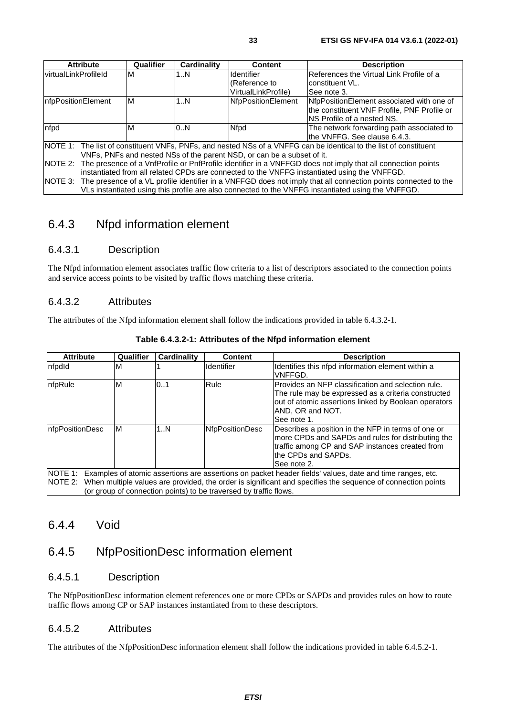<span id="page-32-0"></span>

| <b>Attribute</b>                  | Qualifier                                                                                                   | <b>Cardinality</b><br><b>Description</b><br>Content |                     |                                                                                                                        |  |  |
|-----------------------------------|-------------------------------------------------------------------------------------------------------------|-----------------------------------------------------|---------------------|------------------------------------------------------------------------------------------------------------------------|--|--|
| <b>virtualLinkProfileId</b>       | M                                                                                                           | 1N                                                  | <b>Identifier</b>   | References the Virtual Link Profile of a                                                                               |  |  |
|                                   |                                                                                                             |                                                     | (Reference to       | constituent VL.                                                                                                        |  |  |
|                                   |                                                                                                             |                                                     | VirtualLinkProfile) | See note 3.                                                                                                            |  |  |
| InfpPositionElement               | M                                                                                                           | 1N                                                  | NfpPositionElement  | NfpPositionElement associated with one of                                                                              |  |  |
|                                   |                                                                                                             |                                                     |                     | the constituent VNF Profile, PNF Profile or                                                                            |  |  |
| <b>NS Profile of a nested NS.</b> |                                                                                                             |                                                     |                     |                                                                                                                        |  |  |
| nfpd                              | M                                                                                                           | 0.N                                                 | Nfpd                | The network forwarding path associated to                                                                              |  |  |
|                                   |                                                                                                             |                                                     |                     | lthe VNFFG. See clause 6.4.3.                                                                                          |  |  |
|                                   |                                                                                                             |                                                     |                     | NOTE 1: The list of constituent VNFs, PNFs, and nested NSs of a VNFFG can be identical to the list of constituent      |  |  |
|                                   | VNFs, PNFs and nested NSs of the parent NSD, or can be a subset of it.                                      |                                                     |                     |                                                                                                                        |  |  |
| NOTE 2:                           | The presence of a VnfProfile or PnfProfile identifier in a VNFFGD does not imply that all connection points |                                                     |                     |                                                                                                                        |  |  |
|                                   | instantiated from all related CPDs are connected to the VNFFG instantiated using the VNFFGD.                |                                                     |                     |                                                                                                                        |  |  |
|                                   |                                                                                                             |                                                     |                     | NOTE 3: The presence of a VL profile identifier in a VNFFGD does not imply that all connection points connected to the |  |  |
|                                   |                                                                                                             |                                                     |                     | VLs instantiated using this profile are also connected to the VNFFG instantiated using the VNFFGD.                     |  |  |

## 6.4.3 Nfpd information element

## 6.4.3.1 Description

The Nfpd information element associates traffic flow criteria to a list of descriptors associated to the connection points and service access points to be visited by traffic flows matching these criteria.

#### 6.4.3.2 Attributes

The attributes of the Nfpd information element shall follow the indications provided in table 6.4.3.2-1.

| <b>Attribute</b>                                                                                                                                                                                                                                            | Qualifier | <b>Cardinality</b> | <b>Content</b>    | <b>Description</b>                                                                                                                                                                                     |  |  |
|-------------------------------------------------------------------------------------------------------------------------------------------------------------------------------------------------------------------------------------------------------------|-----------|--------------------|-------------------|--------------------------------------------------------------------------------------------------------------------------------------------------------------------------------------------------------|--|--|
| nfpdld                                                                                                                                                                                                                                                      | ΙM        |                    | <b>Identifier</b> | Identifies this nfpd information element within a<br>VNFFGD.                                                                                                                                           |  |  |
| nfpRule                                                                                                                                                                                                                                                     | ΙM        | 0.1                | Rule              | IProvides an NFP classification and selection rule.<br>The rule may be expressed as a criteria constructed<br>out of atomic assertions linked by Boolean operators<br>IAND, OR and NOT.<br>See note 1. |  |  |
| InfpPositionDesc<br>1N<br><b>NfpPositionDesc</b><br>Describes a position in the NFP in terms of one or<br>ΙM<br>more CPDs and SAPDs and rules for distributing the<br>traffic among CP and SAP instances created from<br>the CPDs and SAPDs.<br>See note 2. |           |                    |                   |                                                                                                                                                                                                        |  |  |
| Examples of atomic assertions are assertions on packet header fields' values, date and time ranges, etc.<br>NOTE 1:                                                                                                                                         |           |                    |                   |                                                                                                                                                                                                        |  |  |
| NOTE 2: When multiple values are provided, the order is significant and specifies the sequence of connection points<br>(or group of connection points) to be traversed by traffic flows.                                                                    |           |                    |                   |                                                                                                                                                                                                        |  |  |

#### **Table 6.4.3.2-1: Attributes of the Nfpd information element**

## 6.4.4 Void

## 6.4.5 NfpPositionDesc information element

### 6.4.5.1 Description

The NfpPositionDesc information element references one or more CPDs or SAPDs and provides rules on how to route traffic flows among CP or SAP instances instantiated from to these descriptors.

#### 6.4.5.2 Attributes

The attributes of the NfpPositionDesc information element shall follow the indications provided in table 6.4.5.2-1.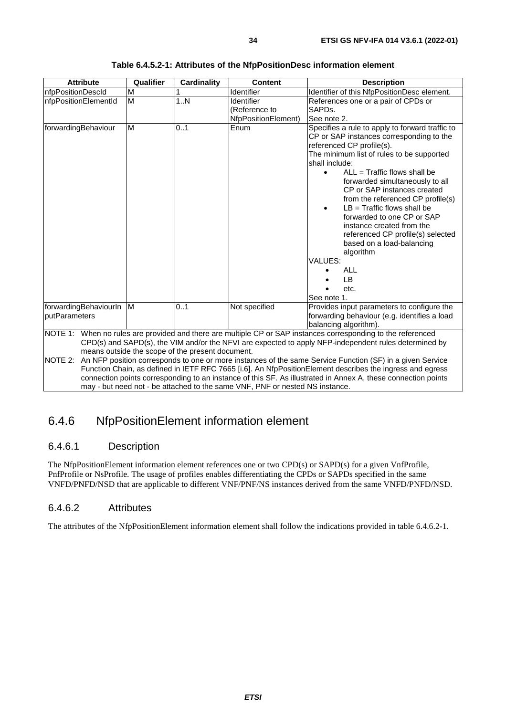<span id="page-33-0"></span>

| <b>Attribute</b>                       | Qualifier<br>Cardinality<br><b>Content</b><br><b>Description</b>                                                                                   |                                                  |                                                                              |                                                                                                                                                                                                                                                                                                                                                                                                                                                                                                                                                                                |  |  |  |
|----------------------------------------|----------------------------------------------------------------------------------------------------------------------------------------------------|--------------------------------------------------|------------------------------------------------------------------------------|--------------------------------------------------------------------------------------------------------------------------------------------------------------------------------------------------------------------------------------------------------------------------------------------------------------------------------------------------------------------------------------------------------------------------------------------------------------------------------------------------------------------------------------------------------------------------------|--|--|--|
| nfpPositionDescld                      | M                                                                                                                                                  |                                                  | Identifier                                                                   | Identifier of this NfpPositionDesc element.                                                                                                                                                                                                                                                                                                                                                                                                                                                                                                                                    |  |  |  |
| nfpPositionElementId                   | M                                                                                                                                                  | 1. N                                             | Identifier<br>(Reference to<br>NfpPositionElement)                           | References one or a pair of CPDs or<br>SAPDs.<br>See note 2.                                                                                                                                                                                                                                                                                                                                                                                                                                                                                                                   |  |  |  |
| forwardingBehaviour                    | M                                                                                                                                                  | 0.1                                              | Enum                                                                         | Specifies a rule to apply to forward traffic to<br>CP or SAP instances corresponding to the<br>referenced CP profile(s).<br>The minimum list of rules to be supported<br>shall include:<br>$ALL = Traffic$ flows shall be<br>$\bullet$<br>forwarded simultaneously to all<br>CP or SAP instances created<br>from the referenced CP profile(s)<br>$LB = Traffic$ flows shall be<br>forwarded to one CP or SAP<br>instance created from the<br>referenced CP profile(s) selected<br>based on a load-balancing<br>algorithm<br>VALUES:<br><b>ALL</b><br>LB<br>etc.<br>See note 1. |  |  |  |
| forwardingBehaviourIn<br>putParameters | 0.1<br>IM.<br>Not specified<br>Provides input parameters to configure the<br>forwarding behaviour (e.g. identifies a load<br>balancing algorithm). |                                                  |                                                                              |                                                                                                                                                                                                                                                                                                                                                                                                                                                                                                                                                                                |  |  |  |
| NOTE 2:                                |                                                                                                                                                    | means outside the scope of the present document. | may - but need not - be attached to the same VNF, PNF or nested NS instance. | NOTE 1: When no rules are provided and there are multiple CP or SAP instances corresponding to the referenced<br>CPD(s) and SAPD(s), the VIM and/or the NFVI are expected to apply NFP-independent rules determined by<br>An NFP position corresponds to one or more instances of the same Service Function (SF) in a given Service<br>Function Chain, as defined in IETF RFC 7665 [i.6]. An NfpPositionElement describes the ingress and egress<br>connection points corresponding to an instance of this SF. As illustrated in Annex A, these connection points              |  |  |  |

#### **Table 6.4.5.2-1: Attributes of the NfpPositionDesc information element**

## 6.4.6 NfpPositionElement information element

## 6.4.6.1 Description

The NfpPositionElement information element references one or two CPD(s) or SAPD(s) for a given VnfProfile, PnfProfile or NsProfile. The usage of profiles enables differentiating the CPDs or SAPDs specified in the same VNFD/PNFD/NSD that are applicable to different VNF/PNF/NS instances derived from the same VNFD/PNFD/NSD.

## 6.4.6.2 Attributes

The attributes of the NfpPositionElement information element shall follow the indications provided in table 6.4.6.2-1.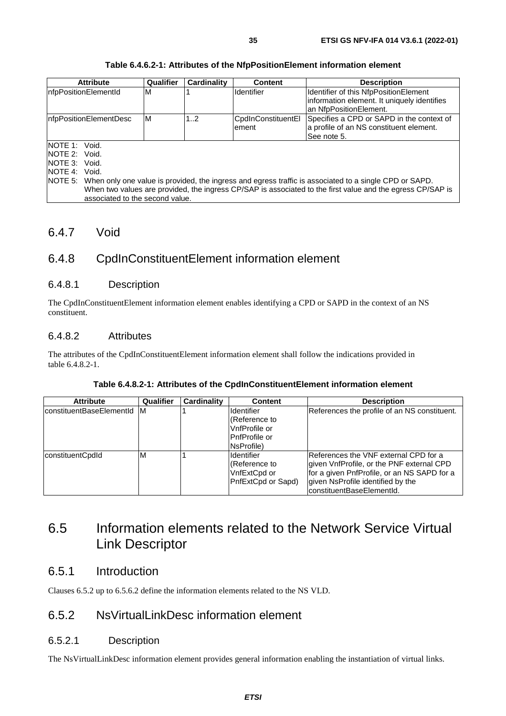<span id="page-34-0"></span>

| <b>Attribute</b>                                                                                                | Qualifier | Cardinality | <b>Content</b>               | <b>Description</b>                                                                                                                                                                                                   |
|-----------------------------------------------------------------------------------------------------------------|-----------|-------------|------------------------------|----------------------------------------------------------------------------------------------------------------------------------------------------------------------------------------------------------------------|
| nfpPositionElementId                                                                                            | M         |             | Ildentifier                  | Identifier of this NfpPositionElement<br>information element. It uniquely identifies<br>an NfpPositionElement.                                                                                                       |
| InfpPositionElementDesc                                                                                         | ΙM        | 12          | CpdInConstituentEl<br>lement | Specifies a CPD or SAPD in the context of<br>a profile of an NS constituent element.<br>See note 5.                                                                                                                  |
| NOTE 1: Void.<br>NOTE 2: Void.<br>NOTE 3: Void.<br>NOTE 4: Void.<br>INOTE 5:<br>associated to the second value. |           |             |                              | When only one value is provided, the ingress and egress traffic is associated to a single CPD or SAPD.<br>When two values are provided, the ingress CP/SAP is associated to the first value and the egress CP/SAP is |

#### **Table 6.4.6.2-1: Attributes of the NfpPositionElement information element**

## 6.4.7 Void

## 6.4.8 CpdInConstituentElement information element

### 6.4.8.1 Description

The CpdInConstituentElement information element enables identifying a CPD or SAPD in the context of an NS constituent.

### 6.4.8.2 Attributes

The attributes of the CpdInConstituentElement information element shall follow the indications provided in table 6.4.8.2-1.

| <b>Attribute</b>         | Qualifier | <b>Cardinality</b> | <b>Content</b>       | <b>Description</b>                           |
|--------------------------|-----------|--------------------|----------------------|----------------------------------------------|
| constituentBaseElementId | IM.       |                    | lldentifier          | References the profile of an NS constituent. |
|                          |           |                    | (Reference to        |                                              |
|                          |           |                    | lVnfProfile or       |                                              |
|                          |           |                    | <b>PnfProfile or</b> |                                              |
|                          |           |                    | NsProfile)           |                                              |
| constituentCpdId         | ΙM        |                    | <b>Identifier</b>    | References the VNF external CPD for a        |
|                          |           |                    | (Reference to        | given VnfProfile, or the PNF external CPD    |
|                          |           |                    | VnfExtCpd or         | for a given PnfProfile, or an NS SAPD for a  |
|                          |           |                    | PnfExtCpd or Sapd)   | given NsProfile identified by the            |
|                          |           |                    |                      | IconstituentBaseElementId.                   |

| Table 6.4.8.2-1: Attributes of the CpdInConstituentElement information element |
|--------------------------------------------------------------------------------|
|--------------------------------------------------------------------------------|

## 6.5 Information elements related to the Network Service Virtual Link Descriptor

## 6.5.1 Introduction

Clauses 6.5.2 up to 6.5.6.2 define the information elements related to the NS VLD.

## 6.5.2 NsVirtualLinkDesc information element

### 6.5.2.1 Description

The NsVirtualLinkDesc information element provides general information enabling the instantiation of virtual links.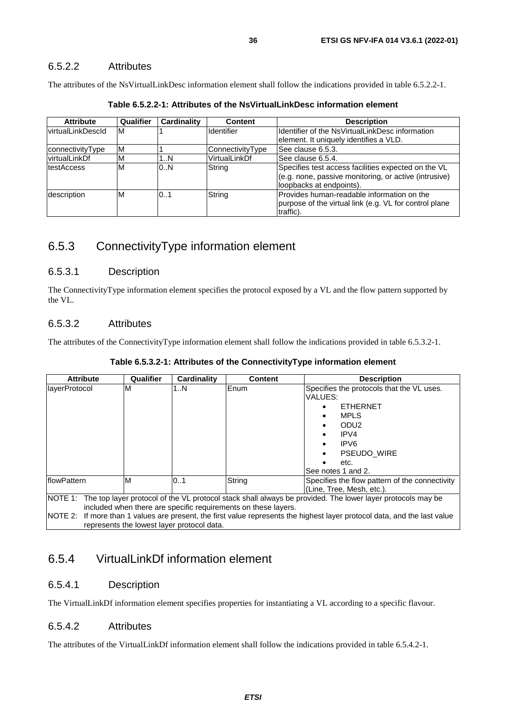### <span id="page-35-0"></span>6.5.2.2 Attributes

The attributes of the NsVirtualLinkDesc information element shall follow the indications provided in table 6.5.2.2-1.

| <b>Attribute</b>         | Qualifier | Cardinality | <b>Content</b>    | <b>Description</b>                                                                                                                       |
|--------------------------|-----------|-------------|-------------------|------------------------------------------------------------------------------------------------------------------------------------------|
| <b>virtualLinkDescld</b> | M         |             | <b>Identifier</b> | Identifier of the NsVirtualLinkDesc information<br>element. It uniquely identifies a VLD.                                                |
| connectivityType         | M         |             | ConnectivityType  | See clause 6.5.3.                                                                                                                        |
| lvirtualLinkDf           | M         | 1N          | VirtualLinkDf     | See clause 6.5.4.                                                                                                                        |
| <b>testAccess</b>        | M         | 0.N         | String            | Specifies test access facilities expected on the VL<br>(e.g. none, passive monitoring, or active (intrusive)<br>loopbacks at endpoints). |
| description              | M         | 0.1         | String            | Provides human-readable information on the<br>purpose of the virtual link (e.g. VL for control plane<br>traffic).                        |

**Table 6.5.2.2-1: Attributes of the NsVirtualLinkDesc information element** 

## 6.5.3 ConnectivityType information element

#### 6.5.3.1 Description

The ConnectivityType information element specifies the protocol exposed by a VL and the flow pattern supported by the VL.

### 6.5.3.2 Attributes

The attributes of the ConnectivityType information element shall follow the indications provided in table 6.5.3.2-1.

|  |  |  | Table 6.5.3.2-1: Attributes of the ConnectivityType information element |  |
|--|--|--|-------------------------------------------------------------------------|--|
|--|--|--|-------------------------------------------------------------------------|--|

| <b>Attribute</b>    | <b>Qualifier</b> | Cardinality                                | <b>Content</b>                                                 | <b>Description</b>                                                                                                                                                                                                                              |
|---------------------|------------------|--------------------------------------------|----------------------------------------------------------------|-------------------------------------------------------------------------------------------------------------------------------------------------------------------------------------------------------------------------------------------------|
| layerProtocol       | ΙM               | 1N                                         | Enum                                                           | Specifies the protocols that the VL uses.<br>VALUES:<br><b>ETHERNET</b><br><b>MPLS</b><br>ODU <sub>2</sub><br>IPV4<br>IPV <sub>6</sub><br><b>PSEUDO WIRE</b><br>etc.<br>See notes 1 and 2.                                                      |
| <b>IflowPattern</b> | ΙM               | 0.1                                        | String                                                         | Specifies the flow pattern of the connectivity<br>(Line, Tree, Mesh, etc.).                                                                                                                                                                     |
|                     |                  | represents the lowest layer protocol data. | included when there are specific requirements on these layers. | NOTE 1: The top layer protocol of the VL protocol stack shall always be provided. The lower layer protocols may be<br>NOTE 2: If more than 1 values are present, the first value represents the highest layer protocol data, and the last value |

## 6.5.4 VirtualLinkDf information element

### 6.5.4.1 Description

The VirtualLinkDf information element specifies properties for instantiating a VL according to a specific flavour.

### 6.5.4.2 Attributes

The attributes of the VirtualLinkDf information element shall follow the indications provided in table 6.5.4.2-1.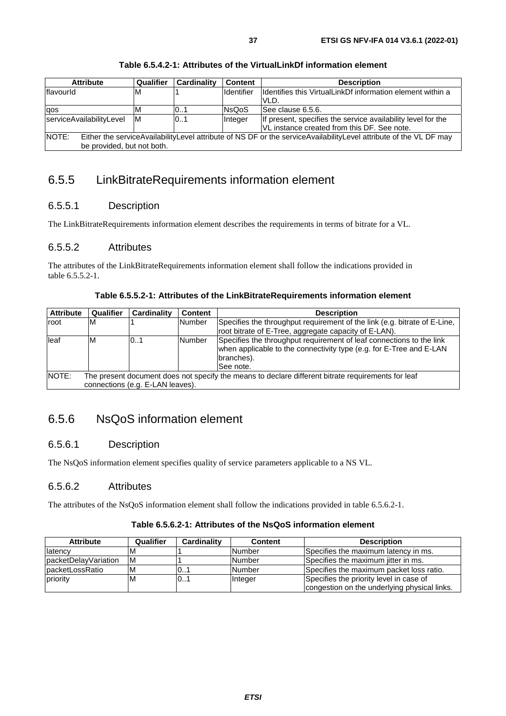<span id="page-36-0"></span>

| <b>Attribute</b>                                                                                                           | Qualifier | Cardinality | <b>Content</b> | <b>Description</b>                                           |  |
|----------------------------------------------------------------------------------------------------------------------------|-----------|-------------|----------------|--------------------------------------------------------------|--|
| flavourld                                                                                                                  | M         |             | Identifier     | Identifies this VirtualLinkDf information element within a   |  |
|                                                                                                                            |           |             |                | VLD.                                                         |  |
| qos                                                                                                                        | M         | l01         | <b>NsQoS</b>   | See clause 6.5.6.                                            |  |
| serviceAvailabilityLevel                                                                                                   | IM.       | 10.1        | Integer        | If present, specifies the service availability level for the |  |
|                                                                                                                            |           |             |                | VL instance created from this DF. See note.                  |  |
| NOTE:<br>Either the serviceAvailabilityLevel attribute of NS DF or the serviceAvailabilityLevel attribute of the VL DF may |           |             |                |                                                              |  |
| be provided, but not both.                                                                                                 |           |             |                |                                                              |  |

**Table 6.5.4.2-1: Attributes of the VirtualLinkDf information element** 

## 6.5.5 LinkBitrateRequirements information element

## 6.5.5.1 Description

The LinkBitrateRequirements information element describes the requirements in terms of bitrate for a VL.

## 6.5.5.2 Attributes

The attributes of the LinkBitrateRequirements information element shall follow the indications provided in table 6.5.5.2-1.

| <b>Attribute</b> | Qualifier                                                                                          | Cardinality                      | <b>Content</b> | <b>Description</b>                                                                                                                                                     |  |  |
|------------------|----------------------------------------------------------------------------------------------------|----------------------------------|----------------|------------------------------------------------------------------------------------------------------------------------------------------------------------------------|--|--|
| root             | ΙM                                                                                                 |                                  | <b>Number</b>  | Specifies the throughput requirement of the link (e.g. bitrate of E-Line,                                                                                              |  |  |
|                  |                                                                                                    |                                  |                | root bitrate of E-Tree, aggregate capacity of E-LAN).                                                                                                                  |  |  |
| lleaf            | ΙM                                                                                                 | 01                               | <b>Number</b>  | Specifies the throughput requirement of leaf connections to the link<br>when applicable to the connectivity type (e.g. for E-Tree and E-LAN<br>branches).<br>See note. |  |  |
| NOTE:            | The present document does not specify the means to declare different bitrate requirements for leaf |                                  |                |                                                                                                                                                                        |  |  |
|                  |                                                                                                    | connections (e.g. E-LAN leaves). |                |                                                                                                                                                                        |  |  |

## 6.5.6 NsQoS information element

## 6.5.6.1 Description

The NsQoS information element specifies quality of service parameters applicable to a NS VL.

## 6.5.6.2 Attributes

The attributes of the NsQoS information element shall follow the indications provided in table 6.5.6.2-1.

| <b>Attribute</b>     | Qualifier | <b>Cardinality</b> | <b>Content</b> | <b>Description</b>                           |
|----------------------|-----------|--------------------|----------------|----------------------------------------------|
| llatencv             |           |                    | <b>Number</b>  | Specifies the maximum latency in ms.         |
| packetDelayVariation | ΙM        |                    | <b>Number</b>  | Specifies the maximum jitter in ms.          |
| IpacketLossRatio     | ΙM        | 101                | <b>Number</b>  | Specifies the maximum packet loss ratio.     |
| priority             | ΙM        | 01                 | Integer        | Specifies the priority level in case of      |
|                      |           |                    |                | congestion on the underlying physical links. |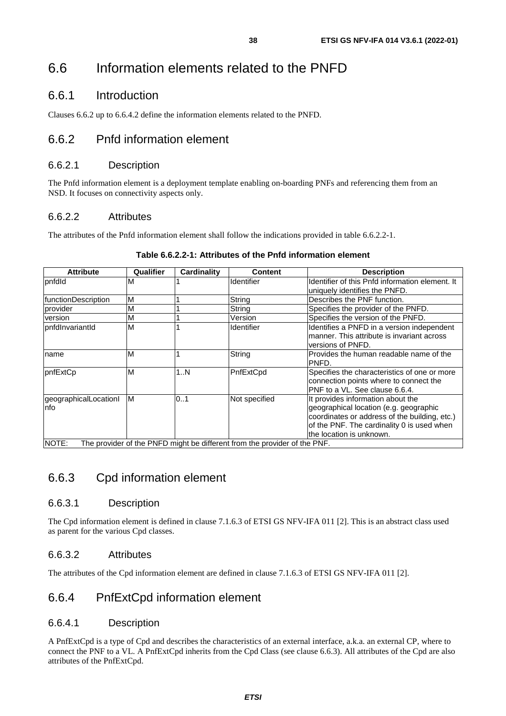## <span id="page-37-0"></span>6.6 Information elements related to the PNFD

## 6.6.1 Introduction

Clauses 6.6.2 up to 6.6.4.2 define the information elements related to the PNFD.

## 6.6.2 Pnfd information element

#### 6.6.2.1 Description

The Pnfd information element is a deployment template enabling on-boarding PNFs and referencing them from an NSD. It focuses on connectivity aspects only.

#### 6.6.2.2 Attributes

The attributes of the Pnfd information element shall follow the indications provided in table 6.6.2.2-1.

| <b>Attribute</b>              | Qualifier | Cardinality | Content                                                                   | <b>Description</b>                                                                                                                                                                                     |
|-------------------------------|-----------|-------------|---------------------------------------------------------------------------|--------------------------------------------------------------------------------------------------------------------------------------------------------------------------------------------------------|
| pnfdld                        | M         |             | <b>Identifier</b>                                                         | Identifier of this Pnfd information element. It<br>uniquely identifies the PNFD.                                                                                                                       |
| <b>functionDescription</b>    | M         |             | String                                                                    | Describes the PNF function.                                                                                                                                                                            |
| provider                      | M         |             | String                                                                    | Specifies the provider of the PNFD.                                                                                                                                                                    |
| version                       | M         |             | Version                                                                   | Specifies the version of the PNFD.                                                                                                                                                                     |
| pnfdlnvariantId               | M         |             | <b>Identifier</b>                                                         | Identifies a PNFD in a version independent<br>manner. This attribute is invariant across<br>versions of PNFD.                                                                                          |
| name                          | M         |             | String                                                                    | Provides the human readable name of the<br>PNFD.                                                                                                                                                       |
| pnfExtCp                      | M         | 1N          | PnfExtCpd                                                                 | Specifies the characteristics of one or more<br>connection points where to connect the<br>PNF to a VL. See clause 6.6.4.                                                                               |
| geographicalLocationI<br>Info | M         | 0.1         | Not specified                                                             | It provides information about the<br>geographical location (e.g. geographic<br>coordinates or address of the building, etc.)<br>of the PNF. The cardinality 0 is used when<br>the location is unknown. |
| NOTE:                         |           |             | The provider of the PNFD might be different from the provider of the PNF. |                                                                                                                                                                                                        |

#### **Table 6.6.2.2-1: Attributes of the Pnfd information element**

## 6.6.3 Cpd information element

### 6.6.3.1 Description

The Cpd information element is defined in clause 7.1.6.3 of ETSI GS NFV-IFA 011 [\[2\]](#page-7-0). This is an abstract class used as parent for the various Cpd classes.

### 6.6.3.2 Attributes

The attributes of the Cpd information element are defined in clause 7.1.6.3 of ETSI GS NFV-IFA 011 [[2](#page-7-0)].

## 6.6.4 PnfExtCpd information element

#### 6.6.4.1 Description

A PnfExtCpd is a type of Cpd and describes the characteristics of an external interface, a.k.a. an external CP, where to connect the PNF to a VL. A PnfExtCpd inherits from the Cpd Class (see clause 6.6.3). All attributes of the Cpd are also attributes of the PnfExtCpd.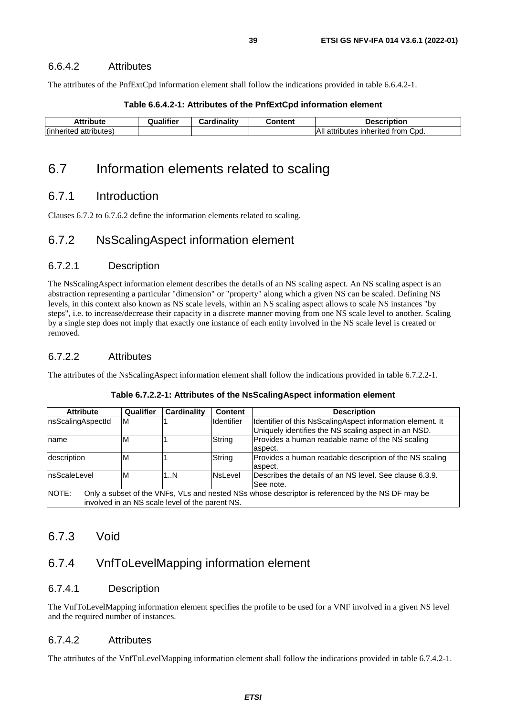<span id="page-38-0"></span>The attributes of the PnfExtCpd information element shall follow the indications provided in table 6.6.4.2-1.

| .<br><i>i</i> bute                      | Qualifier | <b>Cardinality</b> | content, | <b>Description</b>                                    |
|-----------------------------------------|-----------|--------------------|----------|-------------------------------------------------------|
| $\cdot$ .<br>attributes)<br>(inherited) |           |                    |          | Cpd.<br>'Ali<br>trom<br>inherited<br>attributes<br>au |

#### **Table 6.6.4.2-1: Attributes of the PnfExtCpd information element**

## 6.7 Information elements related to scaling

## 6.7.1 Introduction

Clauses 6.7.2 to 6.7.6.2 define the information elements related to scaling.

## 6.7.2 NsScalingAspect information element

## 6.7.2.1 Description

The NsScalingAspect information element describes the details of an NS scaling aspect. An NS scaling aspect is an abstraction representing a particular "dimension" or "property" along which a given NS can be scaled. Defining NS levels, in this context also known as NS scale levels, within an NS scaling aspect allows to scale NS instances "by steps", i.e. to increase/decrease their capacity in a discrete manner moving from one NS scale level to another. Scaling by a single step does not imply that exactly one instance of each entity involved in the NS scale level is created or removed.

## 6.7.2.2 Attributes

The attributes of the NsScalingAspect information element shall follow the indications provided in table 6.7.2.2-1.

| <b>Attribute</b>                                                                                          | Qualifier | <b>Cardinality</b>                              | <b>Content</b>    | <b>Description</b>                                         |
|-----------------------------------------------------------------------------------------------------------|-----------|-------------------------------------------------|-------------------|------------------------------------------------------------|
| nsScalingAspectId                                                                                         | ΙM        |                                                 | <b>Identifier</b> | Identifier of this NsScalingAspect information element. It |
|                                                                                                           |           |                                                 |                   | Uniquely identifies the NS scaling aspect in an NSD.       |
| Iname                                                                                                     | M         |                                                 | String            | Provides a human readable name of the NS scaling           |
|                                                                                                           |           |                                                 |                   | aspect.                                                    |
| description                                                                                               | M         |                                                 | String            | Provides a human readable description of the NS scaling    |
|                                                                                                           |           |                                                 |                   | aspect.                                                    |
| nsScaleLevel                                                                                              | M         | 1N                                              | NsLevel           | Describes the details of an NS level. See clause 6.3.9.    |
|                                                                                                           |           |                                                 |                   | See note.                                                  |
| NOTE:<br>Only a subset of the VNFs, VLs and nested NSs whose descriptor is referenced by the NS DF may be |           |                                                 |                   |                                                            |
|                                                                                                           |           | involved in an NS scale level of the parent NS. |                   |                                                            |

#### **Table 6.7.2.2-1: Attributes of the NsScalingAspect information element**

## 6.7.3 Void

## 6.7.4 VnfToLevelMapping information element

### 6.7.4.1 Description

The VnfToLevelMapping information element specifies the profile to be used for a VNF involved in a given NS level and the required number of instances.

## 6.7.4.2 Attributes

The attributes of the VnfToLevelMapping information element shall follow the indications provided in table 6.7.4.2-1.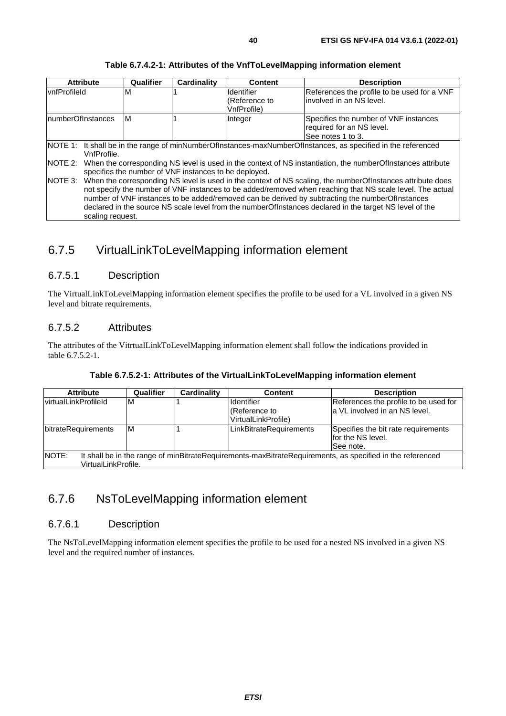<span id="page-39-0"></span>

| M<br><b>vnfProfileId</b><br>M<br>InumberOfInstances | <b>Identifier</b><br>(Reference to<br>VnfProfile)<br>Integer                                                                                                                                                                                                                                                                                                                                                                                                                                                                                                                                                                                                                                                                   | References the profile to be used for a VNF<br>involved in an NS level.                 |  |
|-----------------------------------------------------|--------------------------------------------------------------------------------------------------------------------------------------------------------------------------------------------------------------------------------------------------------------------------------------------------------------------------------------------------------------------------------------------------------------------------------------------------------------------------------------------------------------------------------------------------------------------------------------------------------------------------------------------------------------------------------------------------------------------------------|-----------------------------------------------------------------------------------------|--|
|                                                     |                                                                                                                                                                                                                                                                                                                                                                                                                                                                                                                                                                                                                                                                                                                                |                                                                                         |  |
|                                                     |                                                                                                                                                                                                                                                                                                                                                                                                                                                                                                                                                                                                                                                                                                                                | Specifies the number of VNF instances<br>required for an NS level.<br>See notes 1 to 3. |  |
| VnfProfile.<br>NOTE 2:<br>NOTE 3:                   | NOTE 1: It shall be in the range of minNumberOfInstances-maxNumberOfInstances, as specified in the referenced<br>When the corresponding NS level is used in the context of NS instantiation, the numberOfInstances attribute<br>specifies the number of VNF instances to be deployed.<br>When the corresponding NS level is used in the context of NS scaling, the numberOfInstances attribute does<br>not specify the number of VNF instances to be added/removed when reaching that NS scale level. The actual<br>number of VNF instances to be added/removed can be derived by subtracting the numberOfInstances<br>declared in the source NS scale level from the numberOfInstances declared in the target NS level of the |                                                                                         |  |

#### **Table 6.7.4.2-1: Attributes of the VnfToLevelMapping information element**

## 6.7.5 VirtualLinkToLevelMapping information element

## 6.7.5.1 Description

The VirtualLinkToLevelMapping information element specifies the profile to be used for a VL involved in a given NS level and bitrate requirements.

### 6.7.5.2 Attributes

The attributes of the VitrtualLinkToLevelMapping information element shall follow the indications provided in table 6.7.5.2-1.

| Table 6.7.5.2-1: Attributes of the VirtualLinkToLevelMapping information element |  |  |
|----------------------------------------------------------------------------------|--|--|
|                                                                                  |  |  |

| <b>Attribute</b>                                                                                                   | Qualifier | <b>Cardinality</b> | <b>Content</b>          | <b>Description</b>                    |
|--------------------------------------------------------------------------------------------------------------------|-----------|--------------------|-------------------------|---------------------------------------|
| IvirtualLinkProfileId                                                                                              | ιM        |                    | <b>Identifier</b>       | References the profile to be used for |
|                                                                                                                    |           |                    | (Reference to           | a VL involved in an NS level.         |
|                                                                                                                    |           |                    | VirtualLinkProfile)     |                                       |
| bitrateRequirements                                                                                                | M         |                    | LinkBitrateRequirements | Specifies the bit rate requirements   |
|                                                                                                                    |           |                    |                         | for the NS level.                     |
|                                                                                                                    |           |                    |                         | See note.                             |
| NOTE:<br>It shall be in the range of minBitrateRequirements-maxBitrateRequirements, as specified in the referenced |           |                    |                         |                                       |
| VirtualLinkProfile.                                                                                                |           |                    |                         |                                       |

## 6.7.6 NsToLevelMapping information element

### 6.7.6.1 Description

The NsToLevelMapping information element specifies the profile to be used for a nested NS involved in a given NS level and the required number of instances.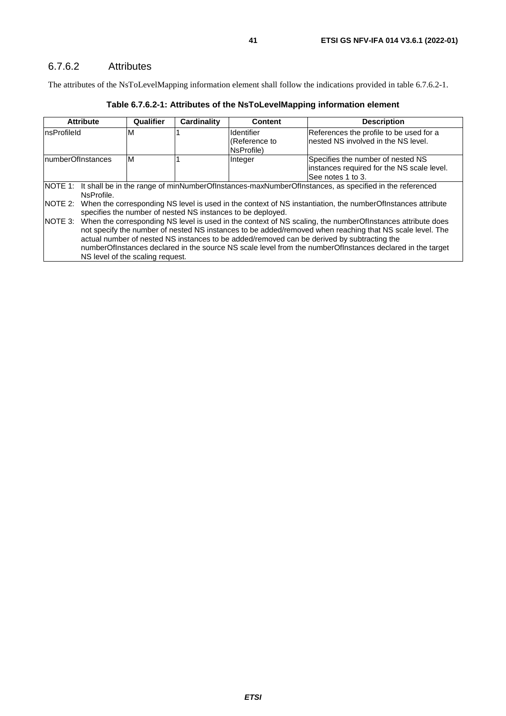### <span id="page-40-0"></span>6.7.6.2 Attributes

The attributes of the NsToLevelMapping information element shall follow the indications provided in table 6.7.6.2-1.

| <b>Attribute</b>                                                                                              | Qualifier                                                                                                                                                                                                                                                                                                                                                                                                                                                                                                                            | <b>Cardinality</b> | <b>Content</b>              | <b>Description</b>                                                              |  |  |
|---------------------------------------------------------------------------------------------------------------|--------------------------------------------------------------------------------------------------------------------------------------------------------------------------------------------------------------------------------------------------------------------------------------------------------------------------------------------------------------------------------------------------------------------------------------------------------------------------------------------------------------------------------------|--------------------|-----------------------------|---------------------------------------------------------------------------------|--|--|
| InsProfileId                                                                                                  | M                                                                                                                                                                                                                                                                                                                                                                                                                                                                                                                                    |                    | Identifier<br>(Reference to | References the profile to be used for a<br>nested NS involved in the NS level.  |  |  |
|                                                                                                               |                                                                                                                                                                                                                                                                                                                                                                                                                                                                                                                                      |                    | NsProfile)                  |                                                                                 |  |  |
| <b>InumberOfInstances</b>                                                                                     | M                                                                                                                                                                                                                                                                                                                                                                                                                                                                                                                                    |                    | Integer                     | Specifies the number of nested NS<br>instances required for the NS scale level. |  |  |
|                                                                                                               |                                                                                                                                                                                                                                                                                                                                                                                                                                                                                                                                      |                    |                             | See notes 1 to 3.                                                               |  |  |
| NOTE 1: It shall be in the range of minNumberOfInstances-maxNumberOfInstances, as specified in the referenced |                                                                                                                                                                                                                                                                                                                                                                                                                                                                                                                                      |                    |                             |                                                                                 |  |  |
| NsProfile.                                                                                                    |                                                                                                                                                                                                                                                                                                                                                                                                                                                                                                                                      |                    |                             |                                                                                 |  |  |
| NOTE 2:                                                                                                       | When the corresponding NS level is used in the context of NS instantiation, the numberOfInstances attribute                                                                                                                                                                                                                                                                                                                                                                                                                          |                    |                             |                                                                                 |  |  |
| <b>INOTE 3:</b>                                                                                               | specifies the number of nested NS instances to be deployed.<br>When the corresponding NS level is used in the context of NS scaling, the numberOfInstances attribute does<br>not specify the number of nested NS instances to be added/removed when reaching that NS scale level. The<br>actual number of nested NS instances to be added/removed can be derived by subtracting the<br>numberOfInstances declared in the source NS scale level from the numberOfInstances declared in the target<br>NS level of the scaling request. |                    |                             |                                                                                 |  |  |

**Table 6.7.6.2-1: Attributes of the NsToLevelMapping information element**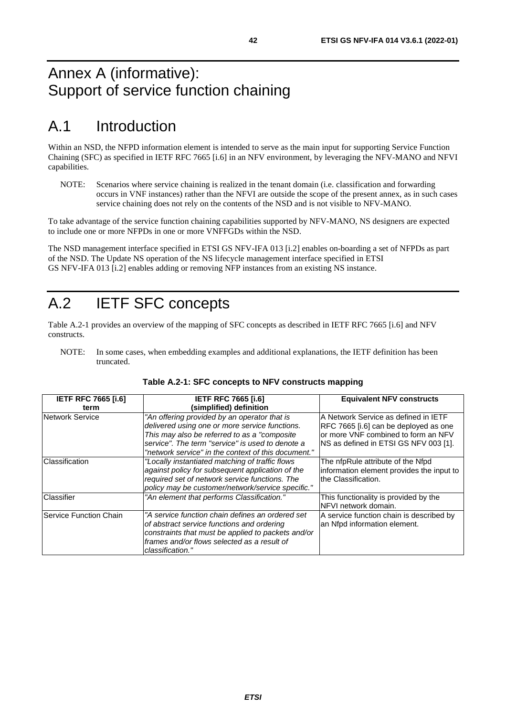## <span id="page-41-0"></span>Annex A (informative): Support of service function chaining

## A.1 Introduction

Within an NSD, the NFPD information element is intended to serve as the main input for supporting Service Function Chaining (SFC) as specified in IETF RFC 7665 [\[i.6\]](#page-7-0) in an NFV environment, by leveraging the NFV-MANO and NFVI capabilities.

NOTE: Scenarios where service chaining is realized in the tenant domain (i.e. classification and forwarding occurs in VNF instances) rather than the NFVI are outside the scope of the present annex, as in such cases service chaining does not rely on the contents of the NSD and is not visible to NFV-MANO.

To take advantage of the service function chaining capabilities supported by NFV-MANO, NS designers are expected to include one or more NFPDs in one or more VNFFGDs within the NSD.

The NSD management interface specified in ETSI GS NFV-IFA 013 [[i.2](#page-7-0)] enables on-boarding a set of NFPDs as part of the NSD. The Update NS operation of the NS lifecycle management interface specified in ETSI GS NFV-IFA 013 [[i.2\]](#page-7-0) enables adding or removing NFP instances from an existing NS instance.

## A.2 IETF SFC concepts

Table A.2-1 provides an overview of the mapping of SFC concepts as described in IETF RFC 7665 [\[i.6\]](#page-7-0) and NFV constructs.

NOTE: In some cases, when embedding examples and additional explanations, the IETF definition has been truncated.

| <b>IETF RFC 7665 [i.6]</b> | <b>IETF RFC 7665 [i.6]</b>                                                                                                                                                                                                                                 | <b>Equivalent NFV constructs</b>                                                                                                                               |
|----------------------------|------------------------------------------------------------------------------------------------------------------------------------------------------------------------------------------------------------------------------------------------------------|----------------------------------------------------------------------------------------------------------------------------------------------------------------|
| term                       | (simplified) definition                                                                                                                                                                                                                                    |                                                                                                                                                                |
| Network Service            | "An offering provided by an operator that is<br>delivered using one or more service functions.<br>This may also be referred to as a "composite"<br>service". The term "service" is used to denote a<br>"network service" in the context of this document." | A Network Service as defined in IETF<br>RFC 7665 [i.6] can be deployed as one<br>or more VNF combined to form an NFV<br>INS as defined in ETSI GS NFV 003 [1]. |
| Classification             | "Locally instantiated matching of traffic flows"<br>against policy for subsequent application of the<br>required set of network service functions. The<br>policy may be customer/network/service specific."                                                | The nfpRule attribute of the Nfpd<br>information element provides the input to<br>the Classification.                                                          |
| Classifier                 | "An element that performs Classification."                                                                                                                                                                                                                 | This functionality is provided by the<br>NFVI network domain.                                                                                                  |
| Service Function Chain     | "A service function chain defines an ordered set<br>of abstract service functions and ordering<br>constraints that must be applied to packets and/or<br>frames and/or flows selected as a result of<br>classification."                                    | A service function chain is described by<br>an Nfpd information element.                                                                                       |

#### **Table A.2-1: SFC concepts to NFV constructs mapping**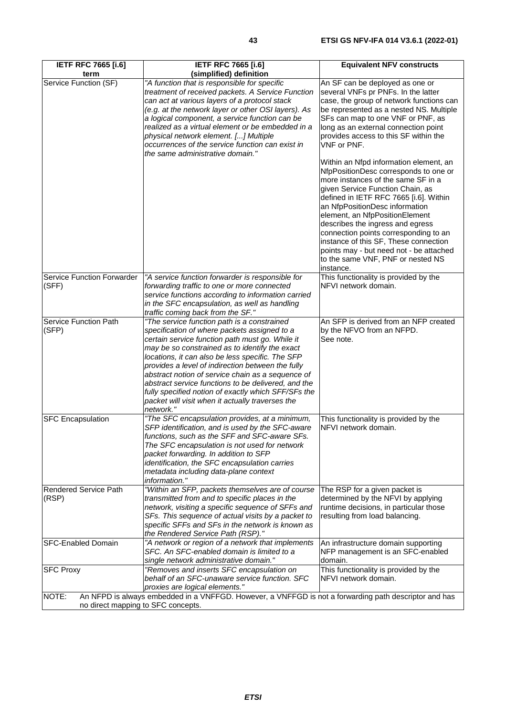| <b>IETF RFC 7665 [i.6]</b>   | <b>IETF RFC 7665 [i.6]</b>                                                             | <b>Equivalent NFV constructs</b>               |
|------------------------------|----------------------------------------------------------------------------------------|------------------------------------------------|
| term                         | (simplified) definition                                                                |                                                |
| Service Function (SF)        | "A function that is responsible for specific                                           | An SF can be deployed as one or                |
|                              | treatment of received packets. A Service Function                                      | several VNFs pr PNFs. In the latter            |
|                              | can act at various layers of a protocol stack                                          | case, the group of network functions can       |
|                              | (e.g. at the network layer or other OSI layers). As                                    | be represented as a nested NS. Multiple        |
|                              | a logical component, a service function can be                                         | SFs can map to one VNF or PNF, as              |
|                              | realized as a virtual element or be embedded in a                                      | long as an external connection point           |
|                              | physical network element. [] Multiple                                                  | provides access to this SF within the          |
|                              | occurrences of the service function can exist in                                       | VNF or PNF.                                    |
|                              | the same administrative domain."                                                       |                                                |
|                              |                                                                                        | Within an Nfpd information element, an         |
|                              |                                                                                        | NfpPositionDesc corresponds to one or          |
|                              |                                                                                        | more instances of the same SF in a             |
|                              |                                                                                        | given Service Function Chain, as               |
|                              |                                                                                        | defined in IETF RFC 7665 [i.6]. Within         |
|                              |                                                                                        | an NfpPositionDesc information                 |
|                              |                                                                                        | element, an NfpPositionElement                 |
|                              |                                                                                        | describes the ingress and egress               |
|                              |                                                                                        | connection points corresponding to an          |
|                              |                                                                                        | instance of this SF, These connection          |
|                              |                                                                                        | points may - but need not - be attached        |
|                              |                                                                                        | to the same VNF, PNF or nested NS<br>instance. |
| Service Function Forwarder   | "A service function forwarder is responsible for                                       | This functionality is provided by the          |
| (SFF)                        | forwarding traffic to one or more connected                                            | NFVI network domain.                           |
|                              | service functions according to information carried                                     |                                                |
|                              | in the SFC encapsulation, as well as handling                                          |                                                |
|                              | traffic coming back from the SF."                                                      |                                                |
| <b>Service Function Path</b> | "The service function path is a constrained                                            | An SFP is derived from an NFP created          |
| (SFP)                        | specification of where packets assigned to a                                           | by the NFVO from an NFPD.                      |
|                              | certain service function path must go. While it                                        | See note.                                      |
|                              | may be so constrained as to identify the exact                                         |                                                |
|                              | locations, it can also be less specific. The SFP                                       |                                                |
|                              | provides a level of indirection between the fully                                      |                                                |
|                              | abstract notion of service chain as a sequence of                                      |                                                |
|                              | abstract service functions to be delivered, and the                                    |                                                |
|                              | fully specified notion of exactly which SFF/SFs the                                    |                                                |
|                              | packet will visit when it actually traverses the                                       |                                                |
|                              | network."                                                                              |                                                |
| <b>SFC Encapsulation</b>     | "The SFC encapsulation provides, at a minimum,                                         | This functionality is provided by the          |
|                              | SFP identification, and is used by the SFC-aware                                       | NFVI network domain.                           |
|                              | functions, such as the SFF and SFC-aware SFs.                                          |                                                |
|                              | The SFC encapsulation is not used for network<br>packet forwarding. In addition to SFP |                                                |
|                              | identification, the SFC encapsulation carries                                          |                                                |
|                              | metadata including data-plane context                                                  |                                                |
|                              | information."                                                                          |                                                |
| <b>Rendered Service Path</b> | "Within an SFP, packets themselves are of course                                       | The RSP for a given packet is                  |
| (RSP)                        | transmitted from and to specific places in the                                         | determined by the NFVI by applying             |
|                              | network, visiting a specific sequence of SFFs and                                      | runtime decisions, in particular those         |
|                              | SFs. This sequence of actual visits by a packet to                                     | resulting from load balancing.                 |
|                              | specific SFFs and SFs in the network is known as                                       |                                                |
|                              | the Rendered Service Path (RSP)."                                                      |                                                |
| <b>SFC-Enabled Domain</b>    | "A network or region of a network that implements                                      | An infrastructure domain supporting            |
|                              | SFC. An SFC-enabled domain is limited to a                                             | NFP management is an SFC-enabled               |
|                              | single network administrative domain."                                                 | domain.                                        |
| <b>SFC Proxy</b>             | "Removes and inserts SFC encapsulation on                                              | This functionality is provided by the          |
|                              | behalf of an SFC-unaware service function. SFC                                         | NFVI network domain.                           |
|                              | vice are legical alemente "                                                            |                                                |

*proxies are logical elements."*  NOTE: An NFPD is always embedded in a VNFFGD. However, a VNFFGD is not a forwarding path descriptor and has no direct mapping to SFC concepts.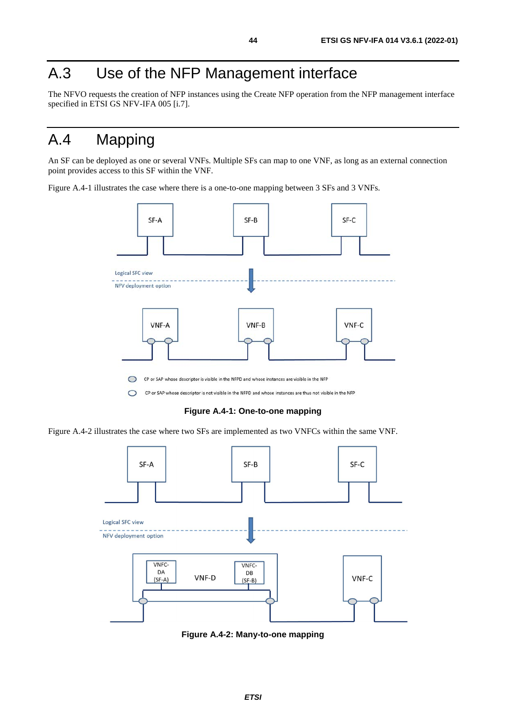## <span id="page-43-0"></span>A.3 Use of the NFP Management interface

The NFVO requests the creation of NFP instances using the Create NFP operation from the NFP management interface specified in ETSI GS NFV-IFA 005 [\[i.7](#page-7-0)].

## A.4 Mapping

An SF can be deployed as one or several VNFs. Multiple SFs can map to one VNF, as long as an external connection point provides access to this SF within the VNF.

Figure A.4-1 illustrates the case where there is a one-to-one mapping between 3 SFs and 3 VNFs.



**Figure A.4-1: One-to-one mapping** 

Figure A.4-2 illustrates the case where two SFs are implemented as two VNFCs within the same VNF.



**Figure A.4-2: Many-to-one mapping**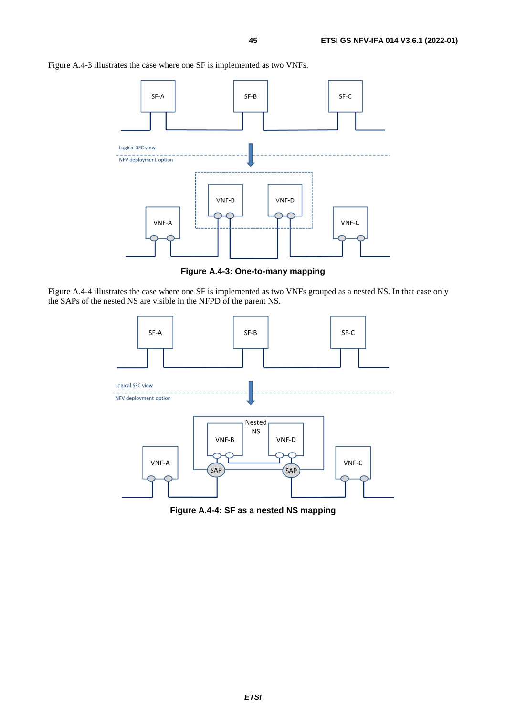Figure A.4-3 illustrates the case where one SF is implemented as two VNFs.



**Figure A.4-3: One-to-many mapping** 

Figure A.4-4 illustrates the case where one SF is implemented as two VNFs grouped as a nested NS. In that case only the SAPs of the nested NS are visible in the NFPD of the parent NS.



**Figure A.4-4: SF as a nested NS mapping**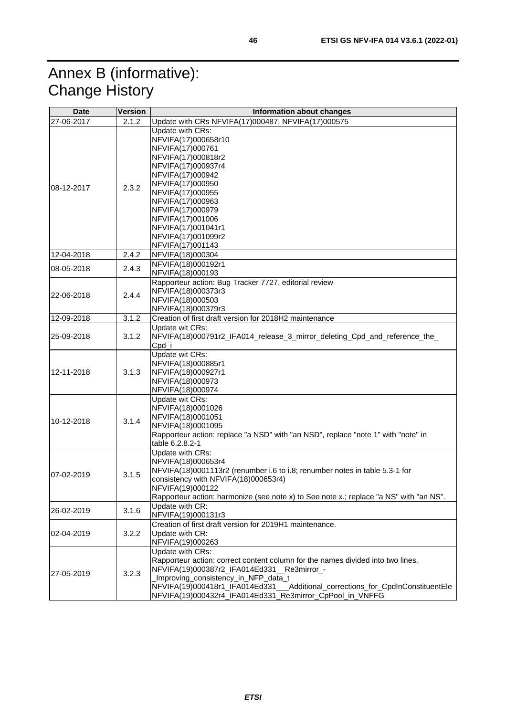## <span id="page-45-0"></span>Annex B (informative): Change History

| <b>Date</b> | Version | Information about changes                                                                                                                                                                                                                                                                                                              |
|-------------|---------|----------------------------------------------------------------------------------------------------------------------------------------------------------------------------------------------------------------------------------------------------------------------------------------------------------------------------------------|
| 27-06-2017  | 2.1.2   | Update with CRs NFVIFA(17)000487, NFVIFA(17)000575                                                                                                                                                                                                                                                                                     |
| 108-12-2017 | 2.3.2   | Update with CRs:<br>NFVIFA(17)000658r10<br>NFVIFA(17)000761<br>NFVIFA(17)000818r2<br>NFVIFA(17)000937r4<br>NFVIFA(17)000942<br>NFVIFA(17)000950<br>NFVIFA(17)000955<br>NFVIFA(17)000963<br>NFVIFA(17)000979<br>NFVIFA(17)001006<br>NFVIFA(17)001041r1<br>NFVIFA(17)001099r2<br>NFVIFA(17)001143                                        |
| 12-04-2018  | 2.4.2   | NFVIFA(18)000304                                                                                                                                                                                                                                                                                                                       |
| 08-05-2018  | 2.4.3   | NFVIFA(18)000192r1<br>NFVIFA(18)000193                                                                                                                                                                                                                                                                                                 |
| 22-06-2018  | 2.4.4   | Rapporteur action: Bug Tracker 7727, editorial review<br>NFVIFA(18)000373r3<br>NFVIFA(18)000503<br>NFVIFA(18)000379r3                                                                                                                                                                                                                  |
| 12-09-2018  | 3.1.2   | Creation of first draft version for 2018H2 maintenance                                                                                                                                                                                                                                                                                 |
| 25-09-2018  | 3.1.2   | Update wit CRs:<br>NFVIFA(18)000791r2_IFA014_release_3_mirror_deleting_Cpd_and_reference_the_<br>Cpd_i                                                                                                                                                                                                                                 |
| 12-11-2018  | 3.1.3   | Update wit CRs:<br>NFVIFA(18)000885r1<br>NFVIFA(18)000927r1<br>NFVIFA(18)000973<br>NFVIFA(18)000974                                                                                                                                                                                                                                    |
| 10-12-2018  | 3.1.4   | Update wit CRs:<br>NFVIFA(18)0001026<br>NFVIFA(18)0001051<br>NFVIFA(18)0001095<br>Rapporteur action: replace "a NSD" with "an NSD", replace "note 1" with "note" in<br>table 6.2.8.2-1                                                                                                                                                 |
| 07-02-2019  | 3.1.5   | Update with CRs:<br>NFVIFA(18)000653r4<br>NFVIFA(18)0001113r2 (renumber i.6 to i.8; renumber notes in table 5.3-1 for<br>consistency with NFVIFA(18)000653r4)<br>NFVIFA(19)000122<br>Rapporteur action: harmonize (see note x) to See note x.; replace "a NS" with "an NS".                                                            |
| 26-02-2019  | 3.1.6   | Update with CR:<br>NFVIFA(19)000131r3                                                                                                                                                                                                                                                                                                  |
| 02-04-2019  | 3.2.2   | Creation of first draft version for 2019H1 maintenance.<br>Update with CR:<br>NFVIFA(19)000263                                                                                                                                                                                                                                         |
| 27-05-2019  | 3.2.3   | Update with CRs:<br>Rapporteur action: correct content column for the names divided into two lines.<br>NFVIFA(19)000387r2_IFA014Ed331_Re3mirror_-<br>Improving_consistency_in_NFP_data_t<br>NFVIFA(19)000418r1_IFA014Ed331__Additional_corrections_for_CpdInConstituentEle<br>NFVIFA(19)000432r4_IFA014Ed331_Re3mirror_CpPool_in_VNFFG |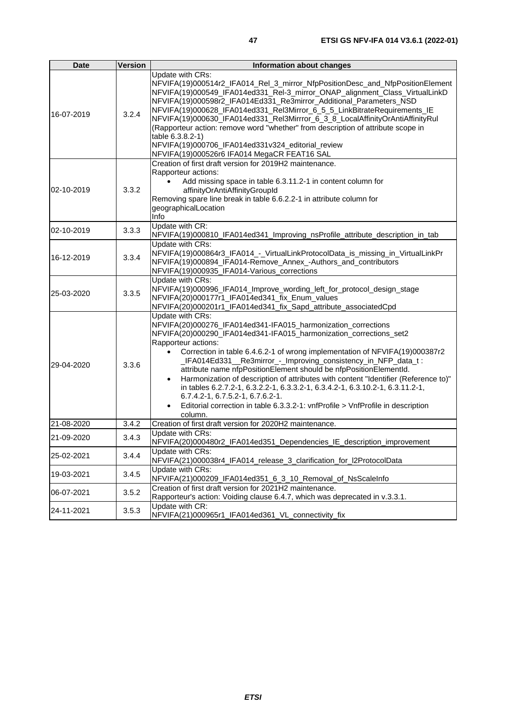| <b>Date</b> | <b>Version</b> | Information about changes                                                                                                                                                                                                                                                                                                                                                                                                                                                                                                                                                                                                                                                                                      |
|-------------|----------------|----------------------------------------------------------------------------------------------------------------------------------------------------------------------------------------------------------------------------------------------------------------------------------------------------------------------------------------------------------------------------------------------------------------------------------------------------------------------------------------------------------------------------------------------------------------------------------------------------------------------------------------------------------------------------------------------------------------|
| 16-07-2019  | 3.2.4          | Update with CRs:<br>NFVIFA(19)000514r2_IFA014_Rel_3_mirror_NfpPositionDesc_and_NfpPositionElement<br>NFVIFA(19)000549_IFA014ed331_Rel-3_mirror_ONAP_alignment_Class_VirtualLinkD<br>NFVIFA(19)000598r2_IFA014Ed331_Re3mirror_Additional_Parameters_NSD<br>NFVIFA(19)000628_IFA014ed331_Rel3Mirror_6_5_5_LinkBitrateRequirements_IE<br>NFVIFA(19)000630_IFA014ed331_Rel3Mirrror_6_3_8_LocalAffinityOrAntiAffinityRul<br>(Rapporteur action: remove word "whether" from description of attribute scope in<br>table 6.3.8.2-1)<br>NFVIFA(19)000706_IFA014ed331v324_editorial_review<br>NFVIFA(19)000526r6 IFA014 MegaCR FEAT16 SAL                                                                                |
| 02-10-2019  | 3.3.2          | Creation of first draft version for 2019H2 maintenance.<br>Rapporteur actions:<br>Add missing space in table 6.3.11.2-1 in content column for<br>$\bullet$<br>affinityOrAntiAffinityGroupId<br>Removing spare line break in table 6.6.2.2-1 in attribute column for<br>geographicalLocation<br>Info                                                                                                                                                                                                                                                                                                                                                                                                            |
| 02-10-2019  | 3.3.3          | Update with CR:<br>NFVIFA(19)000810_IFA014ed341_Improving_nsProfile_attribute_description_in_tab                                                                                                                                                                                                                                                                                                                                                                                                                                                                                                                                                                                                               |
| 16-12-2019  | 3.3.4          | Update with CRs:<br>NFVIFA(19)000864r3_IFA014_-_VirtualLinkProtocolData_is_missing_in_VirtualLinkPr<br>NFVIFA(19)000894_IFA014-Remove_Annex_-Authors_and_contributors<br>NFVIFA(19)000935_IFA014-Various_corrections                                                                                                                                                                                                                                                                                                                                                                                                                                                                                           |
| 25-03-2020  | 3.3.5          | Update with CRs:<br>NFVIFA(19)000996_IFA014_Improve_wording_left_for_protocol_design_stage<br>NFVIFA(20)000177r1_IFA014ed341_fix_Enum_values<br>NFVIFA(20)000201r1_IFA014ed341_fix_Sapd_attribute_associatedCpd                                                                                                                                                                                                                                                                                                                                                                                                                                                                                                |
| 29-04-2020  | 3.3.6          | Update with CRs:<br>NFVIFA(20)000276_IFA014ed341-IFA015_harmonization_corrections<br>NFVIFA(20)000290_IFA014ed341-IFA015_harmonization_corrections_set2<br>Rapporteur actions:<br>Correction in table 6.4.6.2-1 of wrong implementation of NFVIFA(19)000387r2<br>_IFA014Ed331__Re3mirror_-_Improving_consistency_in_NFP_data_t:<br>attribute name nfpPositionElement should be nfpPositionElementId.<br>Harmonization of description of attributes with content "Identifier (Reference to)"<br>in tables 6.2.7.2-1, 6.3.2.2-1, 6.3.3.2-1, 6.3.4.2-1, 6.3.10.2-1, 6.3.11.2-1,<br>6.7.4.2-1, 6.7.5.2-1, 6.7.6.2-1.<br>Editorial correction in table 6.3.3.2-1: vnfProfile > VnfProfile in description<br>column. |
| 21-08-2020  | 3.4.2          | Creation of first draft version for 2020H2 maintenance.                                                                                                                                                                                                                                                                                                                                                                                                                                                                                                                                                                                                                                                        |
| 21-09-2020  | 3.4.3          | Update with CRs:<br>NFVIFA(20)000480r2_IFA014ed351_Dependencies_IE_description_improvement                                                                                                                                                                                                                                                                                                                                                                                                                                                                                                                                                                                                                     |
| 25-02-2021  | 3.4.4          | Update with CRs:<br>NFVIFA(21)000038r4_IFA014_release_3_clarification_for_I2ProtocolData                                                                                                                                                                                                                                                                                                                                                                                                                                                                                                                                                                                                                       |
| 19-03-2021  | 3.4.5          | Update with CRs:<br>NFVIFA(21)000209_IFA014ed351_6_3_10_Removal_of_NsScaleInfo                                                                                                                                                                                                                                                                                                                                                                                                                                                                                                                                                                                                                                 |
| 06-07-2021  | 3.5.2          | Creation of first draft version for 2021H2 maintenance.<br>Rapporteur's action: Voiding clause 6.4.7, which was deprecated in v.3.3.1.                                                                                                                                                                                                                                                                                                                                                                                                                                                                                                                                                                         |
| 24-11-2021  | 3.5.3          | Update with CR:<br>NFVIFA(21)000965r1_IFA014ed361_VL_connectivity_fix                                                                                                                                                                                                                                                                                                                                                                                                                                                                                                                                                                                                                                          |